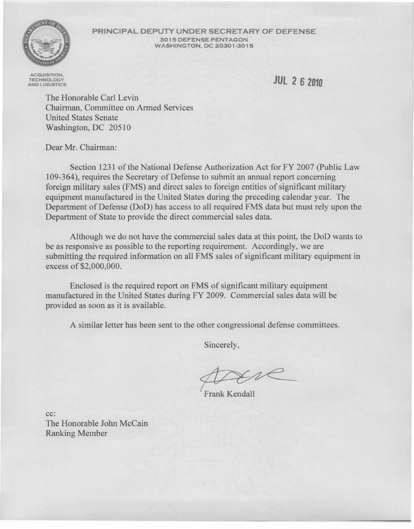

**PRINCIPAL DEPUTY UNDER SECRETARY OF DEFENSE** 3015 DEFENSE PENTAGON WASHINGTON, DC 20301·3015

**ACQUISITION TECHNOLOGY** AND LOGISTICS

**JUt 262010**

The Honorable Carl Levin Chairman, Committee on Armed Services United States Senate Washington, DC 20510

Dear Mr. Chairman:

Section 1231 of the National Defense Authorization Act for FY 2007 (Public Law 109-364), requires the Secretary of Defense to submit an annual report concerning foreign military sales (FMS) and direct sales to foreign entities of significant military equipment manufactured in the United States during the preceding calendar year. The Department of Defense (DoD) has access to all required FMS data but must rely upon the Department of State to provide the direct commercial sales data.

Although we do not have the commercial sales data at this point, the DoD wants to be as responsive as possible to the reporting requirement. Accordingly, we are submitting the required information on all FMS sales of significant military equipment in excess of \$2,000,000.

Enclosed is the required report on FMS of significant military equipment manufactured in the United States during FY 2009. Commercial sales data will be provided as soon as it is available.

A similar letter has been sent to the other congressional defense committees.

Sincerely,

Frank Kendall

cc: The Honorable John McCain Ranking Member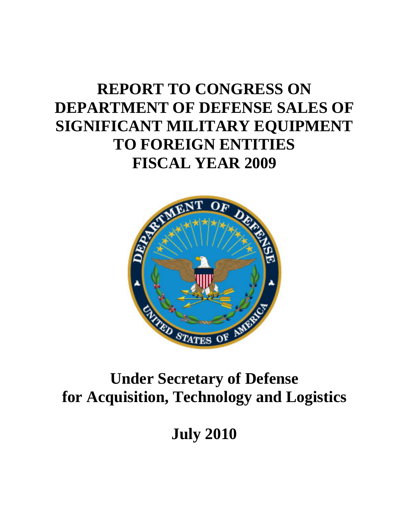# **REPORT TO CONGRESS ON DEPARTMENT OF DEFENSE SALES OF SIGNIFICANT MILITARY EQUIPMENT TO FOREIGN ENTITIES FISCAL YEAR 2009**



## **Under Secretary of Defense for Acquisition, Technology and Logistics**

**July 2010**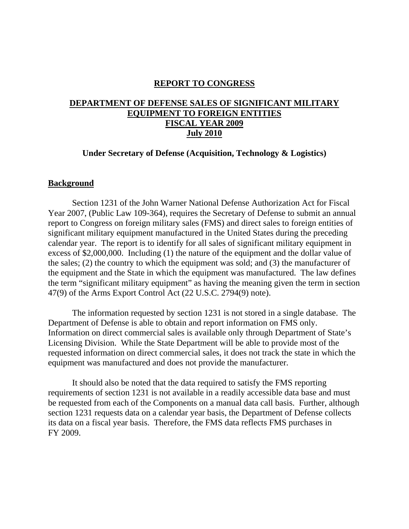## **REPORT TO CONGRESS**

## **DEPARTMENT OF DEFENSE SALES OF SIGNIFICANT MILITARY EQUIPMENT TO FOREIGN ENTITIES FISCAL YEAR 2009 July 2010**

## **Under Secretary of Defense (Acquisition, Technology & Logistics)**

#### **Background**

Section 1231 of the John Warner National Defense Authorization Act for Fiscal Year 2007, (Public Law 109-364), requires the Secretary of Defense to submit an annual report to Congress on foreign military sales (FMS) and direct sales to foreign entities of significant military equipment manufactured in the United States during the preceding calendar year. The report is to identify for all sales of significant military equipment in excess of \$2,000,000. Including (1) the nature of the equipment and the dollar value of the sales; (2) the country to which the equipment was sold; and (3) the manufacturer of the equipment and the State in which the equipment was manufactured. The law defines the term "significant military equipment" as having the meaning given the term in section 47(9) of the Arms Export Control Act (22 U.S.C. 2794(9) note).

The information requested by section 1231 is not stored in a single database. The Department of Defense is able to obtain and report information on FMS only. Information on direct commercial sales is available only through Department of State's Licensing Division. While the State Department will be able to provide most of the requested information on direct commercial sales, it does not track the state in which the equipment was manufactured and does not provide the manufacturer.

It should also be noted that the data required to satisfy the FMS reporting requirements of section 1231 is not available in a readily accessible data base and must be requested from each of the Components on a manual data call basis. Further, although section 1231 requests data on a calendar year basis, the Department of Defense collects its data on a fiscal year basis. Therefore, the FMS data reflects FMS purchases in FY 2009.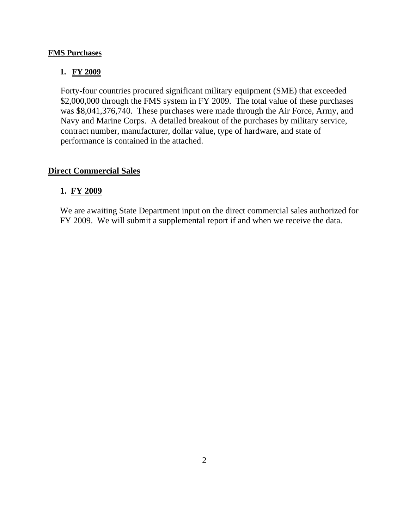## **FMS Purchases**

## **1. FY 2009**

Forty-four countries procured significant military equipment (SME) that exceeded \$2,000,000 through the FMS system in FY 2009. The total value of these purchases was \$8,041,376,740. These purchases were made through the Air Force, Army, and Navy and Marine Corps. A detailed breakout of the purchases by military service, contract number, manufacturer, dollar value, type of hardware, and state of performance is contained in the attached.

## **Direct Commercial Sales**

## **1. FY 2009**

We are awaiting State Department input on the direct commercial sales authorized for FY 2009. We will submit a supplemental report if and when we receive the data.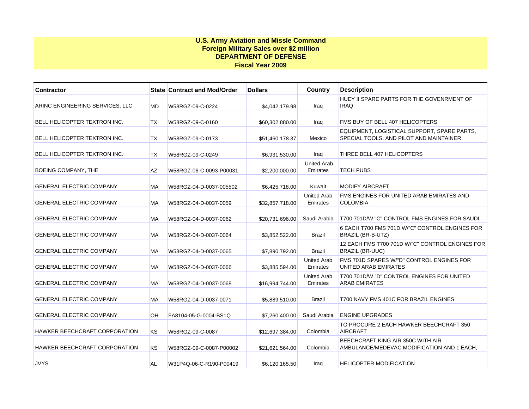#### **U.S. Army Aviation and Missle Command Foreign Military Sales over \$2 million DEPARTMENT OF DEFENSE Fiscal Year 2009**

| <b>Contractor</b>               |           | <b>State Contract and Mod/Order</b> | <b>Dollars</b>  | Country                        | <b>Description</b>                                                                     |
|---------------------------------|-----------|-------------------------------------|-----------------|--------------------------------|----------------------------------------------------------------------------------------|
| ARINC ENGINEERING SERVICES, LLC | MD        | W58RGZ-09-C-0224                    | \$4,042,179.98  | Iraq                           | HUEY II SPARE PARTS FOR THE GOVENRMENT OF<br><b>IRAQ</b>                               |
| BELL HELICOPTER TEXTRON INC.    | <b>TX</b> | W58RGZ-09-C-0160                    | \$60,302,880.00 | Iraq                           | FMS BUY OF BELL 407 HELICOPTERS                                                        |
| BELL HELICOPTER TEXTRON INC.    | <b>TX</b> | W58RGZ-09-C-0173                    | \$51,460,178.37 | Mexico                         | EQUIPMENT, LOGISTICAL SUPPORT, SPARE PARTS,<br>SPECIAL TOOLS, AND PILOT AND MAINTAINER |
| BELL HELICOPTER TEXTRON INC.    | <b>TX</b> | W58RGZ-09-C-0249                    | \$6,931,530.00  | Iraq                           | THREE BELL 407 HELICOPTERS                                                             |
| BOEING COMPANY, THE             | <b>AZ</b> | W58RGZ-06-C-0093-P00031             | \$2,200,000.00  | <b>United Arab</b><br>Emirates | <b>TECH PUBS</b>                                                                       |
| <b>GENERAL ELECTRIC COMPANY</b> | <b>MA</b> | W58RGZ-04-D-0037-005502             | \$6,425,718.00  | Kuwait                         | <b>MODIFY AIRCRAFT</b>                                                                 |
| <b>GENERAL ELECTRIC COMPANY</b> | МA        | W58RGZ-04-D-0037-0059               | \$32,857,718.00 | <b>United Arab</b><br>Emirates | FMS ENGINES FOR UNITED ARAB EMIRATES AND<br><b>COLOMBIA</b>                            |
| <b>GENERAL ELECTRIC COMPANY</b> | <b>MA</b> | W58RGZ-04-D-0037-0062               | \$20.731.696.00 | Saudi Arabia                   | T700 701D/W "C" CONTROL FMS ENGINES FOR SAUDI                                          |
| <b>GENERAL ELECTRIC COMPANY</b> | МA        | W58RGZ-04-D-0037-0064               | \$3,852,522.00  | Brazil                         | 6 EACH T700 FMS 701D W/"C" CONTROL ENGINES FOR<br>BRAZIL (BR-B-UTZ)                    |
| <b>GENERAL ELECTRIC COMPANY</b> | <b>MA</b> | W58RGZ-04-D-0037-0065               | \$7,890,792.00  | Brazil                         | 12 EACH FMS T700 701D W/"C" CONTROL ENGINES FOR<br><b>BRAZIL (BR-UUC)</b>              |
| <b>GENERAL ELECTRIC COMPANY</b> | МA        | W58RGZ-04-D-0037-0066               | \$3,885,594.00  | <b>United Arab</b><br>Emirates | FMS 701D SPARES W/"D" CONTROL ENGINES FOR<br>UNITED ARAB EMIRATES                      |
| <b>GENERAL ELECTRIC COMPANY</b> | <b>MA</b> | W58RGZ-04-D-0037-0068               | \$16,994,744.00 | <b>United Arab</b><br>Emirates | T700 701D/W "D" CONTROL ENGINES FOR UNITED<br><b>ARAB EMIRATES</b>                     |
| <b>GENERAL ELECTRIC COMPANY</b> | МA        | W58RGZ-04-D-0037-0071               | \$5,889,510.00  | <b>Brazil</b>                  | T700 NAVY FMS 401C FOR BRAZIL ENGINES                                                  |
| <b>GENERAL ELECTRIC COMPANY</b> | OH        | FA8104-05-G-0004-BS1Q               | \$7,260,400.00  | Saudi Arabia                   | <b>ENGINE UPGRADES</b>                                                                 |
| HAWKER BEECHCRAFT CORPORATION   | <b>KS</b> | W58RGZ-09-C-0087                    | \$12,697,384.00 | Colombia                       | TO PROCURE 2 EACH HAWKER BEECHCRAFT 350<br><b>AIRCRAFT</b>                             |
| HAWKER BEECHCRAFT CORPORATION   | <b>KS</b> | W58RGZ-09-C-0087-P00002             | \$21.621.564.00 | Colombia                       | BEECHCRAFT KING AIR 350C WITH AIR<br>AMBULANCE/MEDEVAC MODIFICATION AND 1 EACH,        |
| <b>JVYS</b>                     | AL        | W31P4Q-06-C-R190-P00419             | \$6,120,165.50  | Iraq                           | <b>HELICOPTER MODIFICATION</b>                                                         |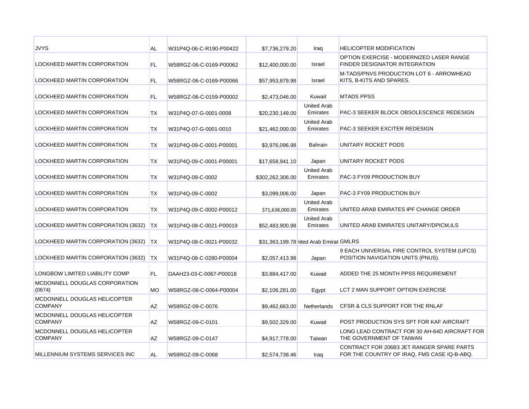| <b>JVYS</b>                                    | <b>AL</b> | W31P4Q-06-C-R190-P00422 | \$7,736,279.20                          | Iraq                           | <b>HELICOPTER MODIFICATION</b>                                                           |
|------------------------------------------------|-----------|-------------------------|-----------------------------------------|--------------------------------|------------------------------------------------------------------------------------------|
| <b>LOCKHEED MARTIN CORPORATION</b>             | FL        | W58RGZ-06-C-0169-P00062 | \$12,400,000.00                         | Israel                         | OPTION EXERCISE - MODERNIZED LASER RANGE<br><b>FINDER DESIGNATOR INTEGRATION</b>         |
| LOCKHEED MARTIN CORPORATION                    | FL.       | W58RGZ-06-C-0169-P00066 | \$57.953.879.98                         | Israel                         | M-TADS/PNVS PRODUCTION LOT 6 - ARROWHEAD<br>KITS, B-KITS AND SPARES.                     |
| LOCKHEED MARTIN CORPORATION                    | FL.       | W58RGZ-06-C-0159-P00002 | \$2,473,046.00                          | Kuwait                         | <b>MTADS PPSS</b>                                                                        |
| LOCKHEED MARTIN CORPORATION                    | ТX        | W31P4Q-07-G-0001-0008   | \$20,230,149.00                         | <b>United Arab</b><br>Emirates | PAC-3 SEEKER BLOCK OBSOLESCENCE REDESIGN                                                 |
| LOCKHEED MARTIN CORPORATION                    | ТX        | W31P4Q-07-G-0001-0010   | \$21,462,000.00                         | <b>United Arab</b><br>Emirates | <b>PAC-3 SEEKER EXCITER REDESIGN</b>                                                     |
| LOCKHEED MARTIN CORPORATION                    | ТX        | W31P4Q-09-C-0001-P00001 | \$3,976,096.98                          | Bahrain                        | UNITARY ROCKET PODS                                                                      |
| LOCKHEED MARTIN CORPORATION                    | ТX        | W31P4Q-09-C-0001-P00001 | \$17,658,941.10                         | Japan                          | UNITARY ROCKET PODS                                                                      |
| LOCKHEED MARTIN CORPORATION                    | ТX        | W31P4Q-09-C-0002        | \$302,262,306.00                        | <b>United Arab</b><br>Emirates | PAC-3 FY09 PRODUCTION BUY                                                                |
| LOCKHEED MARTIN CORPORATION                    | ТX        | W31P4Q-09-C-0002        | \$3,099,006.00                          | Japan                          | PAC-3 FY09 PRODUCTION BUY                                                                |
| LOCKHEED MARTIN CORPORATION                    | ТX        | W31P4Q-09-C-0002-P00012 | \$71,638,000.00                         | <b>United Arab</b><br>Emirates | UNITED ARAB EMIRATES IPF CHANGE ORDER                                                    |
| LOCKHEED MARTIN CORPORATION (3632)             | <b>TX</b> | W31P4Q-08-C-0021-P00019 | \$52,483,900.98                         | <b>United Arab</b><br>Emirates | UNITED ARAB EMIRATES UNITARY/DPICM, ILS                                                  |
| LOCKHEED MARTIN CORPORATION (3632)             | <b>TX</b> | W31P4Q-08-C-0021-P00032 | \$31,363,199.78 nited Arab Emirat GMLRS |                                |                                                                                          |
| LOCKHEED MARTIN CORPORATION (3632)             | <b>TX</b> | W31P4Q-08-C-0280-P00004 | \$2,057,413.98                          | Japan                          | 9 EACH UNIVERSAL FIRE CONTROL SYSTEM (UFCS)<br>POSITION NAVIGATION UNITS (PNUS).         |
| LONGBOW LIMITED LIABILITY COMP                 | FL.       | DAAH23-03-C-0067-P00018 | \$3,884,417.00                          | Kuwait                         | ADDED THE 25 MONTH PPSS REQUIREMENT                                                      |
| MCDONNELL DOUGLAS CORPORATION<br>(0674)        | <b>MO</b> | W58RGZ-08-C-0064-P00004 | \$2,106,281.00                          | Egypt                          | LCT 2 MAN SUPPORT OPTION EXERCISE                                                        |
| MCDONNELL DOUGLAS HELICOPTER<br><b>COMPANY</b> | <b>AZ</b> | W58RGZ-09-C-0076        | \$9,462,663.00                          | Netherlands                    | CFSR & CLS SUPPORT FOR THE RNLAF                                                         |
| MCDONNELL DOUGLAS HELICOPTER<br><b>COMPANY</b> | AZ        | W58RGZ-09-C-0101        | \$9,502,329.00                          | Kuwait                         | POST PRODUCTION SYS SPT FOR KAF AIRCRAFT                                                 |
| MCDONNELL DOUGLAS HELICOPTER<br><b>COMPANY</b> | <b>AZ</b> | W58RGZ-09-C-0147        | \$4,917,778.00                          | Taiwan                         | LONG LEAD CONTRACT FOR 30 AH-64D AIRCRAFT FOR<br>THE GOVERNMENT OF TAIWAN                |
| MILLENNIUM SYSTEMS SERVICES INC                | <b>AL</b> | W58RGZ-09-C-0068        | \$2,574,738.46                          | Iraq                           | CONTRACT FOR 206B3 JET RANGER SPARE PARTS<br>FOR THE COUNTRY OF IRAQ, FMS CASE IQ-B-ABQ. |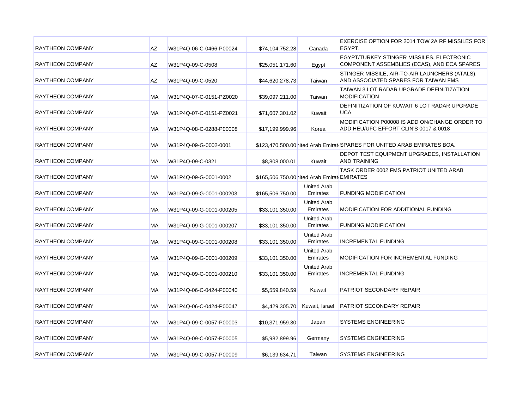| <b>RAYTHEON COMPANY</b> | AZ        | W31P4Q-06-C-0466-P00024 | \$74,104,752.28                             | Canada                         | EXERCISE OPTION FOR 2014 TOW 2A RF MISSILES FOR<br>EGYPT.                                |
|-------------------------|-----------|-------------------------|---------------------------------------------|--------------------------------|------------------------------------------------------------------------------------------|
| <b>RAYTHEON COMPANY</b> | <b>AZ</b> | W31P4Q-09-C-0508        | \$25,051,171.60                             | Egypt                          | EGYPT/TURKEY STINGER MISSILES, ELECTRONIC<br>COMPONENT ASSEMBLIES (ECAS), AND ECA SPARES |
| <b>RAYTHEON COMPANY</b> | AZ        | W31P4Q-09-C-0520        | \$44,620,278.73                             | Taiwan                         | STINGER MISSILE, AIR-TO-AIR LAUNCHERS (ATALS),<br>AND ASSOCIATED SPARES FOR TAIWAN FMS   |
| <b>RAYTHEON COMPANY</b> | МA        | W31P4Q-07-C-0151-PZ0020 | \$39,097,211.00                             | Taiwan                         | TAIWAN 3 LOT RADAR UPGRADE DEFINITIZATION<br><b>MODIFICATION</b>                         |
| RAYTHEON COMPANY        | МA        | W31P4Q-07-C-0151-PZ0021 | \$71,607,301.02                             | Kuwait                         | DEFINITIZATION OF KUWAIT 6 LOT RADAR UPGRADE<br><b>UCA</b>                               |
| <b>RAYTHEON COMPANY</b> | МA        | W31P4Q-08-C-0288-P00008 | \$17,199,999.96                             | Korea                          | MODIFICATION P00008 IS ADD ON/CHANGE ORDER TO<br>ADD HEU/UFC EFFORT CLIN'S 0017 & 0018   |
| <b>RAYTHEON COMPANY</b> | МA        | W31P4Q-09-G-0002-0001   |                                             |                                | \$123,470,500.00 hited Arab Emirat SPARES FOR UNITED ARAB EMIRATES BOA.                  |
| <b>RAYTHEON COMPANY</b> | МA        | W31P4Q-09-C-0321        | \$8,808,000.01                              | Kuwait                         | DEPOT TEST EQUIPMENT UPGRADES, INSTALLATION<br><b>AND TRAINING</b>                       |
| <b>RAYTHEON COMPANY</b> | МA        | W31P4Q-09-G-0001-0002   | \$165,506,750.00 nited Arab Emirat EMIRATES |                                | TASK ORDER 0002 FMS PATRIOT UNITED ARAB                                                  |
| <b>RAYTHEON COMPANY</b> | MA        | W31P4Q-09-G-0001-000203 | \$165,506,750.00                            | <b>United Arab</b><br>Emirates | <b>FUNDING MODIFICATION</b>                                                              |
| <b>RAYTHEON COMPANY</b> | МA        | W31P4Q-09-G-0001-000205 | \$33,101,350.00                             | <b>United Arab</b><br>Emirates | MODIFICATION FOR ADDITIONAL FUNDING                                                      |
| <b>RAYTHEON COMPANY</b> | МA        | W31P4Q-09-G-0001-000207 | \$33,101,350.00                             | <b>United Arab</b><br>Emirates | <b>FUNDING MODIFICATION</b>                                                              |
| <b>RAYTHEON COMPANY</b> | МA        | W31P4Q-09-G-0001-000208 | \$33,101,350.00                             | <b>United Arab</b><br>Emirates | <b>INCREMENTAL FUNDING</b>                                                               |
| <b>RAYTHEON COMPANY</b> | МA        | W31P4Q-09-G-0001-000209 | \$33,101,350.00                             | <b>United Arab</b><br>Emirates | MODIFICATION FOR INCREMENTAL FUNDING                                                     |
| <b>RAYTHEON COMPANY</b> | <b>MA</b> | W31P4Q-09-G-0001-000210 | \$33,101,350.00                             | <b>United Arab</b><br>Emirates | <b>INCREMENTAL FUNDING</b>                                                               |
| <b>RAYTHEON COMPANY</b> | МA        | W31P4Q-06-C-0424-P00040 | \$5,559,840.59                              | Kuwait                         | PATRIOT SECONDARY REPAIR                                                                 |
| <b>RAYTHEON COMPANY</b> | МA        | W31P4Q-06-C-0424-P00047 | \$4,429,305.70                              | Kuwait, Israel                 | PATRIOT SECONDARY REPAIR                                                                 |
| <b>RAYTHEON COMPANY</b> | МA        | W31P4Q-09-C-0057-P00003 | \$10,371,959.30                             | Japan                          | <b>SYSTEMS ENGINEERING</b>                                                               |
| <b>RAYTHEON COMPANY</b> | МA        | W31P4Q-09-C-0057-P00005 | \$5,982,899.96                              | Germany                        | <b>SYSTEMS ENGINEERING</b>                                                               |
| <b>RAYTHEON COMPANY</b> | MA.       | W31P4Q-09-C-0057-P00009 | \$6,139,634.71                              | Taiwan                         | <b>SYSTEMS ENGINEERING</b>                                                               |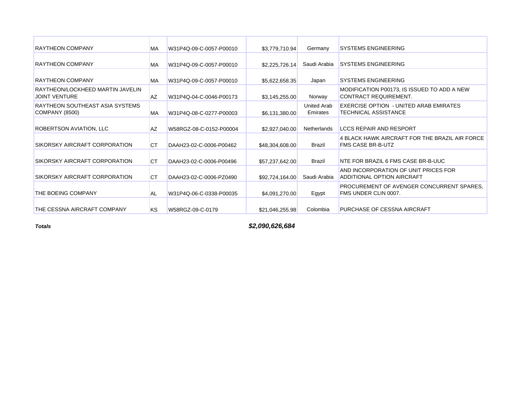| <b>RAYTHEON COMPANY</b><br>Germany<br><b>SYSTEMS ENGINEERING</b><br><b>MA</b><br>\$3,779,710.94<br>W31P4Q-09-C-0057-P00010<br><b>SYSTEMS ENGINEERING</b><br><b>RAYTHEON COMPANY</b><br><b>MA</b><br>Saudi Arabia<br>W31P4Q-09-C-0057-P00010<br>\$2,225,726.14<br><b>SYSTEMS ENGINEERING</b><br><b>RAYTHEON COMPANY</b><br>Japan<br><b>MA</b><br>W31P4Q-09-C-0057-P00010<br>\$5,622,658.35<br>RAYTHEON/LOCKHEED MARTIN JAVELIN<br>MODIFICATION P00173, IS ISSUED TO ADD A NEW<br><b>JOINT VENTURE</b><br>CONTRACT REQUIREMENT.<br>Norway<br><b>AZ</b><br>W31P4Q-04-C-0046-P00173<br>\$3,145,255.00<br>United Arab<br>EXERCISE OPTION - UNITED ARAB EMIRATES<br>RAYTHEON SOUTHEAST ASIA SYSTEMS<br><b>MA</b><br>TECHNICAL ASSISTANCE<br><b>COMPANY (8500)</b><br>Emirates<br>W31P4Q-08-C-0277-P00003<br>\$6,131,380.00<br>ROBERTSON AVIATION, LLC<br><b>LCCS REPAIR AND RESPORT</b><br><b>Netherlands</b><br><b>AZ</b><br>W58RGZ-08-C-0152-P00004<br>\$2,927,040.00<br>4 BLACK HAWK AIRCRAFT FOR THE BRAZIL AIR FORCE<br><b>FMS CASE BR-B-UTZ</b><br>SIKORSKY AIRCRAFT CORPORATION<br>Brazil<br><b>CT</b><br>DAAH23-02-C-0006-P00462<br>\$48,304,608.00<br>SIKORSKY AIRCRAFT CORPORATION<br>NTE FOR BRAZIL 6 FMS CASE BR-B-UUC<br><b>CT</b><br><b>Brazil</b><br>DAAH23-02-C-0006-P00496<br>\$57,237,642.00 |  |
|----------------------------------------------------------------------------------------------------------------------------------------------------------------------------------------------------------------------------------------------------------------------------------------------------------------------------------------------------------------------------------------------------------------------------------------------------------------------------------------------------------------------------------------------------------------------------------------------------------------------------------------------------------------------------------------------------------------------------------------------------------------------------------------------------------------------------------------------------------------------------------------------------------------------------------------------------------------------------------------------------------------------------------------------------------------------------------------------------------------------------------------------------------------------------------------------------------------------------------------------------------------------------------------------------------|--|
|                                                                                                                                                                                                                                                                                                                                                                                                                                                                                                                                                                                                                                                                                                                                                                                                                                                                                                                                                                                                                                                                                                                                                                                                                                                                                                          |  |
|                                                                                                                                                                                                                                                                                                                                                                                                                                                                                                                                                                                                                                                                                                                                                                                                                                                                                                                                                                                                                                                                                                                                                                                                                                                                                                          |  |
|                                                                                                                                                                                                                                                                                                                                                                                                                                                                                                                                                                                                                                                                                                                                                                                                                                                                                                                                                                                                                                                                                                                                                                                                                                                                                                          |  |
|                                                                                                                                                                                                                                                                                                                                                                                                                                                                                                                                                                                                                                                                                                                                                                                                                                                                                                                                                                                                                                                                                                                                                                                                                                                                                                          |  |
|                                                                                                                                                                                                                                                                                                                                                                                                                                                                                                                                                                                                                                                                                                                                                                                                                                                                                                                                                                                                                                                                                                                                                                                                                                                                                                          |  |
|                                                                                                                                                                                                                                                                                                                                                                                                                                                                                                                                                                                                                                                                                                                                                                                                                                                                                                                                                                                                                                                                                                                                                                                                                                                                                                          |  |
|                                                                                                                                                                                                                                                                                                                                                                                                                                                                                                                                                                                                                                                                                                                                                                                                                                                                                                                                                                                                                                                                                                                                                                                                                                                                                                          |  |
|                                                                                                                                                                                                                                                                                                                                                                                                                                                                                                                                                                                                                                                                                                                                                                                                                                                                                                                                                                                                                                                                                                                                                                                                                                                                                                          |  |
| AND INCORPORATION OF UNIT PRICES FOR<br>SIKORSKY AIRCRAFT CORPORATION<br>ADDITIONAL OPTION AIRCRAFT<br><b>CT</b><br>Saudi Arabia<br>DAAH23-02-C-0006-PZ0490<br>\$92,724,164,00                                                                                                                                                                                                                                                                                                                                                                                                                                                                                                                                                                                                                                                                                                                                                                                                                                                                                                                                                                                                                                                                                                                           |  |
| PROCUREMENT OF AVENGER CONCURRENT SPARES,<br>THE BOEING COMPANY<br>FMS UNDER CLIN 0007.<br>Egypt<br><b>AL</b><br>W31P4Q-06-C-0338-P00035<br>\$4.091.270.00                                                                                                                                                                                                                                                                                                                                                                                                                                                                                                                                                                                                                                                                                                                                                                                                                                                                                                                                                                                                                                                                                                                                               |  |
| THE CESSNA AIRCRAFT COMPANY<br>KS.<br>Colombia<br><b>PURCHASE OF CESSNA AIRCRAFT</b><br>W58RGZ-09-C-0179<br>\$21,046,255.98                                                                                                                                                                                                                                                                                                                                                                                                                                                                                                                                                                                                                                                                                                                                                                                                                                                                                                                                                                                                                                                                                                                                                                              |  |

*Totals*

*\$2,090,626,684*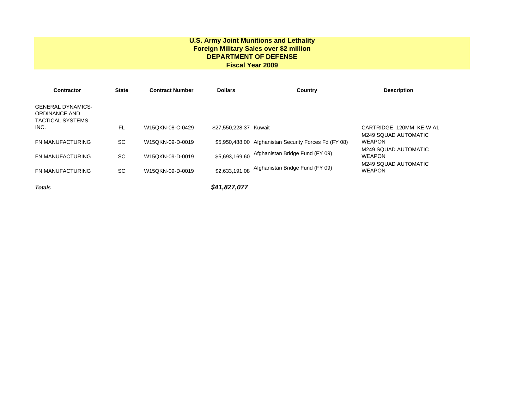#### **U.S. Army Joint Munitions and Lethality Foreign Military Sales over \$2 million DEPARTMENT OF DEFENSE Fiscal Year 2009**

| <b>Contractor</b>                                                     | <b>State</b> | <b>Contract Number</b> | <b>Dollars</b>         | Country                                               | <b>Description</b>                    |
|-----------------------------------------------------------------------|--------------|------------------------|------------------------|-------------------------------------------------------|---------------------------------------|
| <b>GENERAL DYNAMICS-</b><br><b>ORDINANCE AND</b><br>TACTICAL SYSTEMS, |              |                        |                        |                                                       |                                       |
| INC.                                                                  | <b>FL</b>    | W15QKN-08-C-0429       | \$27,550,228,37 Kuwait |                                                       | CARTRIDGE, 120MM, KE-W A1             |
| <b>FN MANUFACTURING</b>                                               | <b>SC</b>    | W15QKN-09-D-0019       |                        | \$5,950,488.00 Afghanistan Security Forces Fd (FY 08) | M249 SQUAD AUTOMATIC<br><b>WEAPON</b> |
|                                                                       |              |                        |                        |                                                       | M249 SQUAD AUTOMATIC                  |
| <b>FN MANUFACTURING</b>                                               | <b>SC</b>    | W15QKN-09-D-0019       | \$5,693,169.60         | Afghanistan Bridge Fund (FY 09)                       | <b>WEAPON</b>                         |
| <b>FN MANUFACTURING</b>                                               | <b>SC</b>    | W15QKN-09-D-0019       | \$2,633,191.08         | Afghanistan Bridge Fund (FY 09)                       | M249 SQUAD AUTOMATIC<br><b>WEAPON</b> |
| <b>Totals</b>                                                         |              |                        | \$41,827,077           |                                                       |                                       |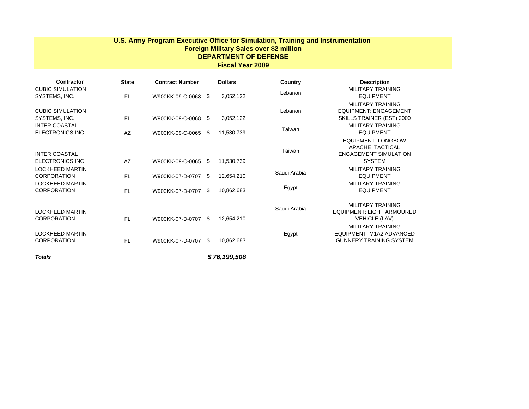#### **U.S. Army Program Executive Office for Simulation, Training and Instrumentation Foreign Military Sales over \$2 million DEPARTMENT OF DEFENSE Fiscal Year 2009**

| Contractor                                   | <b>State</b> | <b>Contract Number</b> |            | <b>Dollars</b> | Country      | <b>Description</b>                                                            |
|----------------------------------------------|--------------|------------------------|------------|----------------|--------------|-------------------------------------------------------------------------------|
| <b>CUBIC SIMULATION</b><br>SYSTEMS, INC.     | <b>FL</b>    | W900KK-09-C-0068       | - \$       | 3,052,122      | Lebanon      | MILITARY TRAINING<br><b>EQUIPMENT</b>                                         |
|                                              |              |                        |            |                |              | MILITARY TRAINING                                                             |
| <b>CUBIC SIMULATION</b>                      |              |                        |            |                | Lebanon      | <b>EQUIPMENT: ENGAGEMENT</b>                                                  |
| SYSTEMS, INC.<br><b>INTER COASTAL</b>        | FL.          | W900KK-09-C-0068       | $\sqrt{2}$ | 3,052,122      |              | SKILLS TRAINER (EST) 2000<br>MILITARY TRAINING                                |
| <b>ELECTRONICS INC</b>                       | AZ           | W900KK-09-C-0065       | - \$       | 11,530,739     | Taiwan       | <b>EQUIPMENT</b>                                                              |
| <b>INTER COASTAL</b>                         |              |                        |            |                | Taiwan       | <b>EQUIPMENT: LONGBOW</b><br>APACHE TACTICAL<br><b>ENGAGEMENT SIMULATION</b>  |
| <b>ELECTRONICS INC</b>                       | AZ           | W900KK-09-C-0065       | S.         | 11,530,739     |              | <b>SYSTEM</b>                                                                 |
| <b>LOCKHEED MARTIN</b><br><b>CORPORATION</b> | <b>FL</b>    | W900KK-07-D-0707       | \$         | 12,654,210     | Saudi Arabia | <b>MILITARY TRAINING</b><br><b>EQUIPMENT</b>                                  |
| <b>LOCKHEED MARTIN</b>                       |              |                        |            |                |              | MILITARY TRAINING                                                             |
| <b>CORPORATION</b>                           | <b>FL</b>    | W900KK-07-D-0707       | -SS        | 10,862,683     | Egypt        | <b>EQUIPMENT</b>                                                              |
| <b>LOCKHEED MARTIN</b><br><b>CORPORATION</b> | <b>FL</b>    | W900KK-07-D-0707       | - \$       | 12,654,210     | Saudi Arabia | MILITARY TRAINING<br><b>EQUIPMENT: LIGHT ARMOURED</b><br><b>VEHICLE (LAV)</b> |
|                                              |              |                        |            |                |              | MILITARY TRAINING                                                             |
| <b>LOCKHEED MARTIN</b><br><b>CORPORATION</b> | <b>FL</b>    | W900KK-07-D-0707       | \$         | 10,862,683     | Egypt        | EQUIPMENT: M1A2 ADVANCED<br><b>GUNNERY TRAINING SYSTEM</b>                    |
| <b>Totals</b>                                |              |                        |            | \$76.199.508   |              |                                                                               |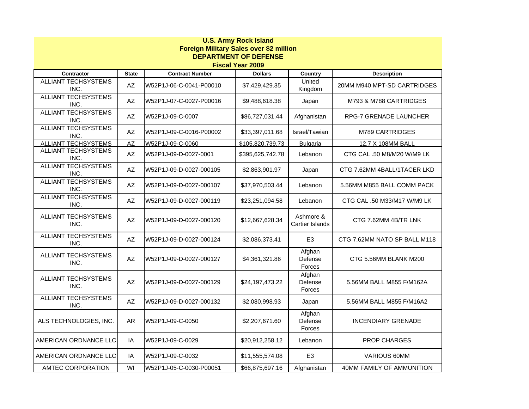| <b>U.S. Army Rock Island</b><br><b>Foreign Military Sales over \$2 million</b><br><b>DEPARTMENT OF DEFENSE</b><br><b>Fiscal Year 2009</b> |                         |                         |                  |                              |                               |  |  |  |  |
|-------------------------------------------------------------------------------------------------------------------------------------------|-------------------------|-------------------------|------------------|------------------------------|-------------------------------|--|--|--|--|
| Contractor                                                                                                                                | <b>State</b>            | <b>Contract Number</b>  | <b>Dollars</b>   | <b>Country</b>               | <b>Description</b>            |  |  |  |  |
| <b>ALLIANT TECHSYSTEMS</b><br>INC.                                                                                                        | AZ                      | W52P1J-06-C-0041-P00010 | \$7,429,429.35   | United<br>Kingdom            | 20MM M940 MPT-SD CARTRIDGES   |  |  |  |  |
| <b>ALLIANT TECHSYSTEMS</b><br>INC.                                                                                                        | AZ                      | W52P1J-07-C-0027-P00016 | \$9,488,618.38   | Japan                        | M793 & M788 CARTRIDGES        |  |  |  |  |
| <b>ALLIANT TECHSYSTEMS</b><br>INC.                                                                                                        | AZ                      | W52P1J-09-C-0007        | \$86,727,031.44  | Afghanistan                  | <b>RPG-7 GRENADE LAUNCHER</b> |  |  |  |  |
| <b>ALLIANT TECHSYSTEMS</b><br>INC.                                                                                                        | AZ                      | W52P1J-09-C-0016-P00002 | \$33,397,011.68  | Israel/Tawian                | M789 CARTRIDGES               |  |  |  |  |
| <b>ALLIANT TECHSYSTEMS</b>                                                                                                                | $\overline{AZ}$         | W52P1J-09-C-0060        | \$105,820,739.73 | <b>Bulgaria</b>              | 12.7 X 108MM BALL             |  |  |  |  |
| <b>ALLIANT TECHSYSTEMS</b><br>INC.                                                                                                        | AZ                      | W52P1J-09-D-0027-0001   | \$395,625,742.78 | Lebanon                      | CTG CAL .50 M8/M20 W/M9 LK    |  |  |  |  |
| <b>ALLIANT TECHSYSTEMS</b><br>INC.                                                                                                        | AZ                      | W52P1J-09-D-0027-000105 | \$2,863,901.97   | Japan                        | CTG 7.62MM 4BALL/1TACER LKD   |  |  |  |  |
| <b>ALLIANT TECHSYSTEMS</b><br>INC.                                                                                                        | $\mathsf{A}\mathsf{Z}$  | W52P1J-09-D-0027-000107 | \$37,970,503.44  | Lebanon                      | 5.56MM M855 BALL COMM PACK    |  |  |  |  |
| <b>ALLIANT TECHSYSTEMS</b><br>INC.                                                                                                        | $\mathsf{A}\mathsf{Z}$  | W52P1J-09-D-0027-000119 | \$23,251,094.58  | Lebanon                      | CTG CAL .50 M33/M17 W/M9 LK   |  |  |  |  |
| <b>ALLIANT TECHSYSTEMS</b><br>INC.                                                                                                        | $\mathsf{A}\mathsf{Z}$  | W52P1J-09-D-0027-000120 | \$12,667,628.34  | Ashmore &<br>Cartier Islands | CTG 7.62MM 4B/TR LNK          |  |  |  |  |
| <b>ALLIANT TECHSYSTEMS</b><br>INC.                                                                                                        | AZ                      | W52P1J-09-D-0027-000124 | \$2,086,373.41   | E <sub>3</sub>               | CTG 7.62MM NATO SP BALL M118  |  |  |  |  |
| ALLIANT TECHSYSTEMS<br>INC.                                                                                                               | AZ                      | W52P1J-09-D-0027-000127 | \$4,361,321.86   | Afghan<br>Defense<br>Forces  | CTG 5.56MM BLANK M200         |  |  |  |  |
| <b>ALLIANT TECHSYSTEMS</b><br>INC.                                                                                                        | $\mathsf{A}\mathsf{Z}$  | W52P1J-09-D-0027-000129 | \$24,197,473.22  | Afghan<br>Defense<br>Forces  | 5.56MM BALL M855 F/M162A      |  |  |  |  |
| <b>ALLIANT TECHSYSTEMS</b><br>INC.                                                                                                        | AZ                      | W52P1J-09-D-0027-000132 | \$2,080,998.93   | Japan                        | 5.56MM BALL M855 F/M16A2      |  |  |  |  |
| ALS TECHNOLOGIES, INC.                                                                                                                    | <b>AR</b>               | W52P1J-09-C-0050        | \$2,207,671.60   | Afghan<br>Defense<br>Forces  | <b>INCENDIARY GRENADE</b>     |  |  |  |  |
| AMERICAN ORDNANCE LLC                                                                                                                     | IA                      | W52P1J-09-C-0029        | \$20,912,258.12  | Lebanon                      | PROP CHARGES                  |  |  |  |  |
| AMERICAN ORDNANCE LLC                                                                                                                     | IA                      | W52P1J-09-C-0032        | \$11,555,574.08  | E <sub>3</sub>               | VARIOUS 60MM                  |  |  |  |  |
| <b>AMTEC CORPORATION</b>                                                                                                                  | $\overline{\mathsf{W}}$ | W52P1J-05-C-0030-P00051 | \$66,875,697.16  | Afghanistan                  | 40MM FAMILY OF AMMUNITION     |  |  |  |  |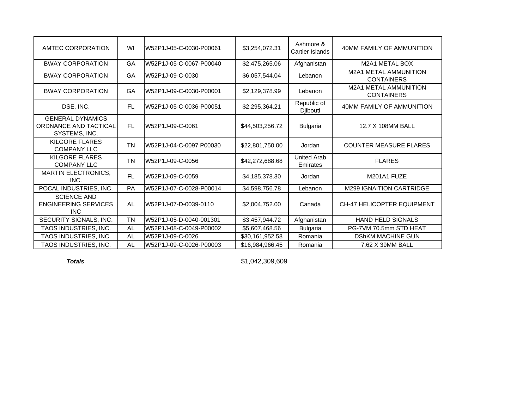| AMTEC CORPORATION                                                 | WI        | W52P1J-05-C-0030-P00061 | \$3,254,072.31  | Ashmore &<br><b>Cartier Islands</b> | 40MM FAMILY OF AMMUNITION                         |
|-------------------------------------------------------------------|-----------|-------------------------|-----------------|-------------------------------------|---------------------------------------------------|
| <b>BWAY CORPORATION</b>                                           | GA        | W52P1J-05-C-0067-P00040 | \$2,475,265.06  | Afghanistan                         | <b>M2A1 METAL BOX</b>                             |
| <b>BWAY CORPORATION</b>                                           | GA        | W52P1J-09-C-0030        | \$6,057,544.04  | Lebanon                             | <b>M2A1 METAL AMMUNITION</b><br><b>CONTAINERS</b> |
| <b>BWAY CORPORATION</b>                                           | <b>GA</b> | W52P1J-09-C-0030-P00001 | \$2,129,378.99  | Lebanon                             | <b>M2A1 METAL AMMUNITION</b><br><b>CONTAINERS</b> |
| DSE, INC.                                                         | <b>FL</b> | W52P1J-05-C-0036-P00051 | \$2,295,364.21  | Republic of<br><b>Diibouti</b>      | 40MM FAMILY OF AMMUNITION                         |
| <b>GENERAL DYNAMICS</b><br>ORDNANCE AND TACTICAL<br>SYSTEMS, INC. | <b>FL</b> | W52P1J-09-C-0061        | \$44,503,256.72 | <b>Bulgaria</b>                     | 12.7 X 108MM BALL                                 |
| KILGORE FLARES<br><b>COMPANY LLC</b>                              | <b>TN</b> | W52P1J-04-C-0097 P00030 | \$22,801,750.00 | Jordan                              | <b>COUNTER MEASURE FLARES</b>                     |
| <b>KILGORE FLARES</b><br><b>COMPANY LLC</b>                       | <b>TN</b> | W52P1J-09-C-0056        | \$42,272,688.68 | <b>United Arab</b><br>Emirates      | <b>FLARES</b>                                     |
| <b>MARTIN ELECTRONICS,</b><br>INC.                                | <b>FL</b> | W52P1J-09-C-0059        | \$4,185,378.30  | Jordan                              | M201A1 FUZE                                       |
| POCAL INDUSTRIES, INC.                                            | <b>PA</b> | W52P1J-07-C-0028-P00014 | \$4,598,756.78  | Lebanon                             | <b>M299 IGNAITION CARTRIDGE</b>                   |
| <b>SCIENCE AND</b><br><b>ENGINEERING SERVICES</b><br><b>INC</b>   | AL        | W52P1J-07-D-0039-0110   | \$2,004,752.00  | Canada                              | <b>CH-47 HELICOPTER EQUIPMENT</b>                 |
| SECURITY SIGNALS, INC.                                            | <b>TN</b> | W52P1J-05-D-0040-001301 | \$3,457,944.72  | Afghanistan                         | <b>HAND HELD SIGNALS</b>                          |
| TAOS INDUSTRIES, INC.                                             | <b>AL</b> | W52P1J-08-C-0049-P00002 | \$5,607,468.56  | Bulgaria                            | PG-7VM 70.5mm STD HEAT                            |
| TAOS INDUSTRIES, INC.                                             | AL        | W52P1J-09-C-0026        | \$30,161,952.58 | Romania                             | <b>DShKM MACHINE GUN</b>                          |
| TAOS INDUSTRIES, INC.                                             | <b>AL</b> | W52P1J-09-C-0026-P00003 | \$16,984,966.45 | Romania                             | 7.62 X 39MM BALL                                  |

*Totals*

\$1,042,309,609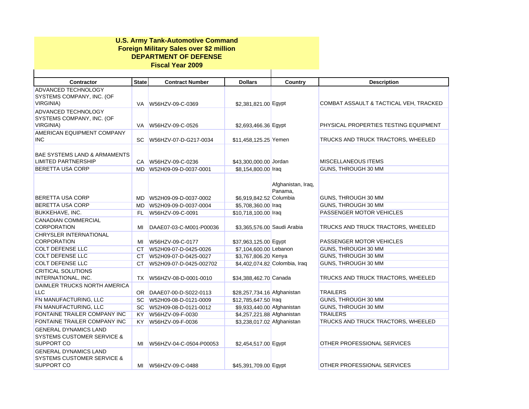| <b>U.S. Army Tank-Automotive Command</b><br><b>Foreign Military Sales over \$2 million</b><br><b>DEPARTMENT OF DEFENSE</b><br><b>Fiscal Year 2009</b> |              |                          |                             |                               |                                        |  |  |  |  |
|-------------------------------------------------------------------------------------------------------------------------------------------------------|--------------|--------------------------|-----------------------------|-------------------------------|----------------------------------------|--|--|--|--|
| <b>Contractor</b>                                                                                                                                     | <b>State</b> | <b>Contract Number</b>   | <b>Dollars</b>              | Country                       | <b>Description</b>                     |  |  |  |  |
| ADVANCED TECHNOLOGY                                                                                                                                   |              |                          |                             |                               |                                        |  |  |  |  |
| SYSTEMS COMPANY, INC. (OF<br><b>VIRGINIA)</b>                                                                                                         | VA.          | W56HZV-09-C-0369         | \$2,381,821.00 Egypt        |                               | COMBAT ASSAULT & TACTICAL VEH, TRACKED |  |  |  |  |
| ADVANCED TECHNOLOGY<br>SYSTEMS COMPANY, INC. (OF<br>VIRGINIA)                                                                                         | VA.          | W56HZV-09-C-0526         | \$2,693,466.36 Egypt        |                               | PHYSICAL PROPERTIES TESTING EQUIPMENT  |  |  |  |  |
| AMERICAN EQUIPMENT COMPANY<br><b>INC</b>                                                                                                              | SC.          | W56HZV-07-D-G217-0034    | \$11,458,125.25 Yemen       |                               | TRUCKS AND TRUCK TRACTORS, WHEELED     |  |  |  |  |
| <b>BAE SYSTEMS LAND &amp; ARMAMENTS</b><br><b>LIMITED PARTNERSHIP</b>                                                                                 |              | CA W56HZV-09-C-0236      | \$43,300,000.00 Jordan      |                               | <b>MISCELLANEOUS ITEMS</b>             |  |  |  |  |
| <b>BERETTA USA CORP</b>                                                                                                                               | MD.          | W52H09-09-D-0037-0001    | \$8,154,800.00 Iraq         |                               | GUNS, THROUGH 30 MM                    |  |  |  |  |
| <b>BERETTA USA CORP</b>                                                                                                                               | MD.          | W52H09-09-D-0037-0002    | \$6,919,842.52 Columbia     | Afghanistan, Iraq,<br>Panama, | GUNS, THROUGH 30 MM                    |  |  |  |  |
| <b>BERETTA USA CORP</b>                                                                                                                               | MD.          | W52H09-09-D-0037-0004    | \$5,708,360.00 Iraq         |                               | GUNS, THROUGH 30 MM                    |  |  |  |  |
| BUKKEHAVE, INC.                                                                                                                                       | FL.          | W56HZV-09-C-0091         | \$10,718,100.00 Iraq        |                               | PASSENGER MOTOR VEHICLES               |  |  |  |  |
| CANADIAN COMMERCIAL<br><b>CORPORATION</b>                                                                                                             | MI           | DAAE07-03-C-M001-P00036  | \$3.365.576.00 Saudi Arabia |                               | TRUCKS AND TRUCK TRACTORS, WHEELED     |  |  |  |  |
| <b>CHRYSLER INTERNATIONAL</b>                                                                                                                         |              |                          |                             |                               |                                        |  |  |  |  |
| <b>CORPORATION</b>                                                                                                                                    | МI           | W56HZV-09-C-0177         | \$37,963,125.00 Egypt       |                               | PASSENGER MOTOR VEHICLES               |  |  |  |  |
| COLT DEFENSE LLC                                                                                                                                      |              | CT W52H09-07-D-0425-0026 | \$7,104,600.00 Lebanon      |                               | GUNS, THROUGH 30 MM                    |  |  |  |  |
| COLT DEFENSE LLC                                                                                                                                      | CT.          | W52H09-07-D-0425-0027    | \$3,767,806.20 Kenya        |                               | GUNS, THROUGH 30 MM                    |  |  |  |  |
| COLT DEFENSE LLC                                                                                                                                      | CT.          | W52H09-07-D-0425-002702  |                             | \$4,402,074.82 Colombia, Iraq | GUNS, THROUGH 30 MM                    |  |  |  |  |
| CRITICAL SOLUTIONS                                                                                                                                    |              |                          |                             |                               |                                        |  |  |  |  |
| INTERNATIONAL, INC.                                                                                                                                   | <b>TX</b>    | W56HZV-08-D-0001-0010    | \$34,388,462.70 Canada      |                               | TRUCKS AND TRUCK TRACTORS, WHEELED     |  |  |  |  |
| DAIMLER TRUCKS NORTH AMERICA                                                                                                                          |              |                          |                             |                               |                                        |  |  |  |  |
| <b>LLC</b>                                                                                                                                            |              | OR DAAE07-00-D-S022-0113 | \$28,257,734.16 Afghanistan |                               | <b>TRAILERS</b>                        |  |  |  |  |
| FN MANUFACTURING, LLC                                                                                                                                 |              | SC W52H09-08-D-0121-0009 | \$12,785,647.50 Iraq        |                               | GUNS, THROUGH 30 MM                    |  |  |  |  |
| FN MANUFACTURING, LLC                                                                                                                                 |              | SC W52H09-08-D-0121-0012 | \$9,933,440.00 Afghanistan  |                               | GUNS, THROUGH 30 MM                    |  |  |  |  |
| FONTAINE TRAILER COMPANY INC                                                                                                                          | KY.          | W56HZV-09-F-0030         | \$4,257,221.88 Afghanistan  |                               | <b>TRAILERS</b>                        |  |  |  |  |
| FONTAINE TRAILER COMPANY INC                                                                                                                          | KY.          | W56HZV-09-F-0036         | \$3,238,017.02 Afghanistan  |                               | TRUCKS AND TRUCK TRACTORS, WHEELED     |  |  |  |  |
| <b>GENERAL DYNAMICS LAND</b><br><b>SYSTEMS CUSTOMER SERVICE &amp;</b><br>SUPPORT CO                                                                   | MI           | W56HZV-04-C-0504-P00053  | \$2,454,517.00 Egypt        |                               | OTHER PROFESSIONAL SERVICES            |  |  |  |  |
| <b>GENERAL DYNAMICS LAND</b><br><b>SYSTEMS CUSTOMER SERVICE &amp;</b><br>SUPPORT CO                                                                   |              |                          | \$45,391,709.00 Egypt       |                               | OTHER PROFESSIONAL SERVICES            |  |  |  |  |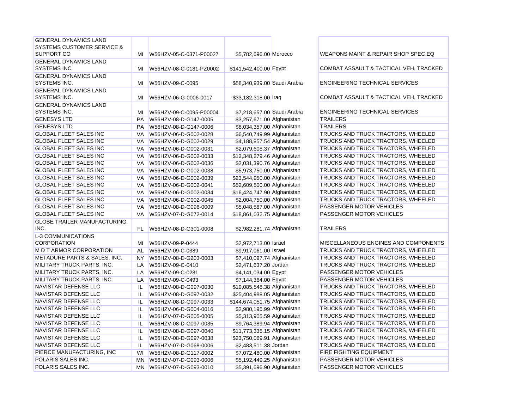| <b>GENERAL DYNAMICS LAND</b>          |           |                         |                              |                  |
|---------------------------------------|-----------|-------------------------|------------------------------|------------------|
| <b>SYSTEMS CUSTOMER SERVICE &amp;</b> |           |                         |                              |                  |
| SUPPORT CO                            | MI        | W56HZV-05-C-0371-P00027 | \$5,782,696.00 Morocco       | <b>WEAPONS</b>   |
| <b>GENERAL DYNAMICS LAND</b>          |           |                         |                              |                  |
| <b>SYSTEMS INC</b>                    | MI        | W56HZV-08-C-0181-PZ0002 | \$141,542,400.00 Egypt       | COMBAT /         |
| <b>GENERAL DYNAMICS LAND</b>          |           |                         |                              |                  |
| <b>SYSTEMS INC.</b>                   | MI        | W56HZV-09-C-0095        | \$58,340,939,00 Saudi Arabia | <b>ENGINEER</b>  |
| <b>GENERAL DYNAMICS LAND</b>          |           |                         |                              |                  |
| SYSTEMS INC.                          | MI        | W56HZV-06-G-0006-0017   | \$33,182,318.00 Iraq         | COMBAT /         |
| <b>GENERAL DYNAMICS LAND</b>          |           |                         |                              |                  |
| SYSTEMS INC.                          | MI        | W56HZV-09-C-0095-P00004 | \$7,218,657.00 Saudi Arabia  | <b>ENGINEEF</b>  |
| <b>GENESYS LTD</b>                    | <b>PA</b> | W56HZV-08-D-G147-0005   | \$3,257,671.00 Afghanistan   | <b>TRAILERS</b>  |
| <b>GENESYS LTD</b>                    | <b>PA</b> | W56HZV-08-D-G147-0006   | \$8,034,357.00 Afghanistan   | <b>TRAILERS</b>  |
| <b>GLOBAL FLEET SALES INC</b>         | VA        | W56HZV-06-D-G002-0028   | \$6,540,749.99 Afghanistan   | <b>TRUCKS A</b>  |
| <b>GLOBAL FLEET SALES INC</b>         | VA        | W56HZV-06-D-G002-0029   | \$4,188,857.54 Afghanistan   | <b>TRUCKS A</b>  |
| <b>GLOBAL FLEET SALES INC</b>         | VA        | W56HZV-06-D-G002-0031   | \$2,079,608.37 Afghanistan   | <b>TRUCKS A</b>  |
| <b>GLOBAL FLEET SALES INC</b>         | VA        | W56HZV-06-D-G002-0033   | \$12,348,279.46 Afghanistan  | <b>TRUCKS A</b>  |
| <b>GLOBAL FLEET SALES INC</b>         | VA        | W56HZV-06-D-G002-0036   | \$2,031,390.76 Afghanistan   | <b>TRUCKS A</b>  |
| <b>GLOBAL FLEET SALES INC</b>         | VA        | W56HZV-06-D-G002-0038   | \$5,973,750.00 Afghanistan   | <b>TRUCKS A</b>  |
| <b>GLOBAL FLEET SALES INC</b>         | VA        | W56HZV-06-D-G002-0039   | \$23,544,950.00 Afghanistan  | <b>TRUCKS A</b>  |
| <b>GLOBAL FLEET SALES INC</b>         | VA        | W56HZV-06-D-G002-0041   | \$52,609,500.00 Afghanistan  | <b>TRUCKS A</b>  |
| <b>GLOBAL FLEET SALES INC</b>         | VA        | W56HZV-06-D-G002-0034   | \$16,424,747.90 Afghanistan  | <b>TRUCKS A</b>  |
| <b>GLOBAL FLEET SALES INC</b>         | VA        | W56HZV-06-D-G002-0045   | \$2,004,750.00 Afghanistan   | <b>TRUCKS A</b>  |
| <b>GLOBAL FLEET SALES INC</b>         | VA        | W56HZV-08-D-G096-0009   | \$5,048,587.00 Afghanistan   | <b>PASSENG</b>   |
| <b>GLOBAL FLEET SALES INC</b>         | VA        | W56HZV-07-D-G072-0014   | \$18,861,032.75 Afghanistan  | <b>PASSENG</b>   |
| <b>GLOBE TRAILER MANUFACTURING,</b>   |           |                         |                              |                  |
| INC.                                  | FL.       | W56HZV-08-D-G301-0008   | \$2,982,281.74 Afghanistan   | <b>TRAILERS</b>  |
| L-3 COMMUNICATIONS                    |           |                         |                              |                  |
| <b>CORPORATION</b>                    | MI        | W56HZV-09-P-0444        | \$2,972,713.00 Israel        | <b>MISCELLA</b>  |
| M D T ARMOR CORPORATION               | AL        | W56HZV-09-C-0389        | \$9,917,061.00 Israel        | <b>TRUCKS A</b>  |
| METADURE PARTS & SALES, INC.          | NY.       | W56HZV-08-D-G203-0003   | \$7,410,097.74 Afghanistan   | <b>TRUCKS A</b>  |
| MILITARY TRUCK PARTS, INC.            | LA        | W56HZV-09-C-0410        | \$2,471,637.20 Jordan        | <b>TRUCKS A</b>  |
| MILITARY TRUCK PARTS, INC.            | LA        | W56HZV-09-C-0281        | \$4,141,034.00 Egypt         | <b>PASSENG</b>   |
| MILITARY TRUCK PARTS, INC.            | LA        | W56HZV-09-C-0493        | \$7,144,364.00 Egypt         | <b>PASSENG</b>   |
| NAVISTAR DEFENSE LLC                  | IL        | W56HZV-08-D-G097-0030   | \$19,085,548.38 Afghanistan  | <b>TRUCKS A</b>  |
| NAVISTAR DEFENSE LLC                  | IL        | W56HZV-08-D-G097-0032   | \$25,404,988.05 Afghanistan  | <b>TRUCKS A</b>  |
| NAVISTAR DEFENSE LLC                  | IL        | W56HZV-08-D-G097-0033   | \$144,674,051.75 Afghanistan | <b>TRUCKS A</b>  |
| NAVISTAR DEFENSE LLC                  | IL        | W56HZV-06-D-G004-0016   | \$2,980,195.99 Afghanistan   | <b>TRUCKS A</b>  |
| <b>NAVISTAR DEFENSE LLC</b>           | IL        | W56HZV-07-D-G005-0005   | \$5,313,905.59 Afghanistan   | <b>TRUCKS A</b>  |
| <b>NAVISTAR DEFENSE LLC</b>           | IL        | W56HZV-08-D-G097-0035   | \$9,764,389.94 Afghanistan   | <b>TRUCKS A</b>  |
| <b>NAVISTAR DEFENSE LLC</b>           | IL        | W56HZV-08-D-G097-0040   | \$11,773,335.15 Afghanistan  | <b>TRUCKS A</b>  |
| NAVISTAR DEFENSE LLC                  | IL        | W56HZV-08-D-G097-0038   | \$23,750,069.91 Afghanistan  | <b>TRUCKS A</b>  |
| <b>NAVISTAR DEFENSE LLC</b>           | IL        | W56HZV-07-D-G068-0006   | \$2,483,511.38 Jordan        | <b>TRUCKS A</b>  |
| PIERCE MANUFACTURING, INC             | WI        | W56HZV-08-D-G117-0002   | \$7,072,480.00 Afghanistan   | <b>FIRE FIGH</b> |
| POLARIS SALES INC.                    | <b>MN</b> | W56HZV-07-D-G093-0006   | \$5,192,449.25 Afghanistan   | <b>PASSENG</b>   |
| POLARIS SALES INC.                    | <b>MN</b> | W56HZV-07-D-G093-0010   | \$5,391,696.90 Afghanistan   | <b>PASSENG</b>   |

WEAPONS MAINT & REPAIR SHOP SPEC EQ COMBAT ASSAULT & TACTICAL VEH, TRACKED **ENGINEERING TECHNICAL SERVICES** COMBAT ASSAULT & TACTICAL VEH, TRACKED **ENGINEERING TECHNICAL SERVICES** TRUCKS AND TRUCK TRACTORS, WHEELED TRUCKS AND TRUCK TRACTORS, WHEELED TRUCKS AND TRUCK TRACTORS, WHEELED TRUCKS AND TRUCK TRACTORS, WHEELED TRUCKS AND TRUCK TRACTORS, WHEELED TRUCKS AND TRUCK TRACTORS, WHEELED TRUCKS AND TRUCK TRACTORS, WHEELED TRUCKS AND TRUCK TRACTORS, WHEELED TRUCKS AND TRUCK TRACTORS, WHEELED TRUCKS AND TRUCK TRACTORS, WHEELED **PASSENGER MOTOR VEHICLES PASSENGER MOTOR VEHICLES** MISCELLANEOUS ENGINES AND COMPONENTS TRUCKS AND TRUCK TRACTORS, WHEELED TRUCKS AND TRUCK TRACTORS, WHEELED TRUCKS AND TRUCK TRACTORS, WHEELED PASSENGER MOTOR VEHICLES PASSENGER MOTOR VEHICLES TRUCKS AND TRUCK TRACTORS, WHEELED **TRUCKS AND TRUCK TRACTORS, WHEELED** TRUCKS AND TRUCK TRACTORS, WHEELED **TRUCKS AND TRUCK TRACTORS, WHEELED** 

**TRUCKS AND TRUCK TRACTORS, WHEELED** 

TRUCKS AND TRUCK TRACTORS, WHEELED

TRUCKS AND TRUCK TRACTORS, WHEELED

TRUCKS AND TRUCK TRACTORS, WHEELED

TRUCKS AND TRUCK TRACTORS, WHEELED

**FIRE FIGHTING EQUIPMENT** 

**PASSENGER MOTOR VEHICLES** 

**PASSENGER MOTOR VEHICLES**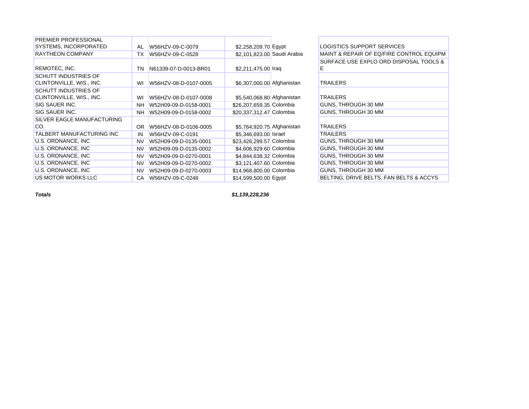| PREMIER PROFESSIONAL        |           |                       |                             |                                          |
|-----------------------------|-----------|-----------------------|-----------------------------|------------------------------------------|
| SYSTEMS, INCORPORATED       | AL        | W56HZV-09-C-0079      | \$2,258,209.70 Egypt        | LOGISTICS SUPPORT SERVICES               |
| <b>RAYTHEON COMPANY</b>     | ТX        | W56HZV-09-C-0528      | \$2,101,823.00 Saudi Arabia | MAINT & REPAIR OF EQ/FIRE CONTROL EQUIPM |
|                             |           |                       |                             | SURFACE USE EXPLO ORD DISPOSAL TOOLS &   |
| REMOTEC, INC.               | ΤN        | N61339-07-D-0013-BR01 | \$2,211,475.00 Iraq         | E                                        |
| <b>SCHUTT INDUSTRIES OF</b> |           |                       |                             |                                          |
| CLINTONVILLE, WIS., INC.    | WI        | W56HZV-08-D-0107-0005 | \$6,307,000.00 Afghanistan  | <b>TRAILERS</b>                          |
| <b>SCHUTT INDUSTRIES OF</b> |           |                       |                             |                                          |
| CLINTONVILLE, WIS., INC.    | WI        | W56HZV-08-D-0107-0008 | \$5,540,068.80 Afghanistan  | <b>TRAILERS</b>                          |
| SIG SAUER INC.              | <b>NH</b> | W52H09-09-D-0158-0001 | \$26,207,659.35 Colombia    | GUNS, THROUGH 30 MM                      |
| SIG SAUER INC.              | <b>NH</b> | W52H09-09-D-0158-0002 | \$20,337,312.47 Colombia    | GUNS, THROUGH 30 MM                      |
| SILVER EAGLE MANUFACTURING  |           |                       |                             |                                          |
| CO.                         | <b>OR</b> | W56HZV-08-D-0106-0005 | \$5,764,920.75 Afghanistan  | <b>TRAILERS</b>                          |
| TALBERT MANUFACTURING INC   | IN        | W56HZV-09-C-0191      | \$5,346,693.00 Israel       | <b>TRAILERS</b>                          |
| U.S. ORDNANCE, INC.         | <b>NV</b> | W52H09-09-D-0135-0001 | \$23,426,299.57 Colombia    | GUNS, THROUGH 30 MM                      |
| U.S. ORDNANCE, INC          | <b>NV</b> | W52H09-09-D-0135-0002 | \$4,606,929.60 Colombia     | GUNS, THROUGH 30 MM                      |
| U.S. ORDNANCE, INC          | <b>NV</b> | W52H09-09-D-0270-0001 | \$4,844,638.32 Colombia     | GUNS, THROUGH 30 MM                      |
| U.S. ORDNANCE, INC          | <b>NV</b> | W52H09-09-D-0270-0002 | \$3,121,407.60 Colombia     | GUNS, THROUGH 30 MM                      |
| U.S. ORDNANCE, INC          | <b>NV</b> | W52H09-09-D-0270-0003 | \$14,968,800.00 Colombia    | GUNS, THROUGH 30 MM                      |
| US MOTOR WORKS LLC          | СA        | W56HZV-09-C-0248      | \$14,599,500.00 Egypt       | BELTING, DRIVE BELTS, FAN BELTS & ACCYS  |
|                             |           |                       |                             |                                          |

*Totals*

*\$1,139,228,236*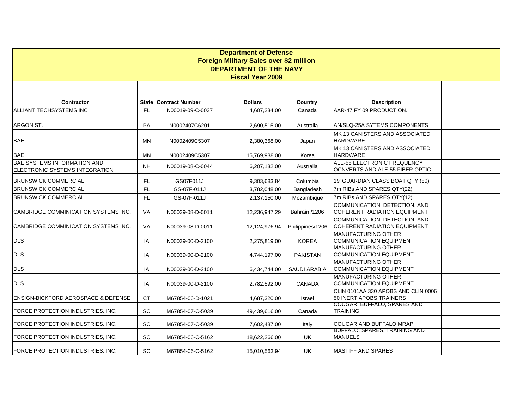| <b>Department of Defense</b>                   |                               |                              |                |                     |                                                          |  |  |  |  |  |  |
|------------------------------------------------|-------------------------------|------------------------------|----------------|---------------------|----------------------------------------------------------|--|--|--|--|--|--|
| Foreign Military Sales over \$2 million        |                               |                              |                |                     |                                                          |  |  |  |  |  |  |
|                                                | <b>DEPARTMENT OF THE NAVY</b> |                              |                |                     |                                                          |  |  |  |  |  |  |
| <b>Fiscal Year 2009</b>                        |                               |                              |                |                     |                                                          |  |  |  |  |  |  |
|                                                |                               |                              |                |                     |                                                          |  |  |  |  |  |  |
|                                                |                               |                              |                |                     |                                                          |  |  |  |  |  |  |
| <b>Contractor</b>                              |                               | <b>State Contract Number</b> | <b>Dollars</b> | <b>Country</b>      | <b>Description</b>                                       |  |  |  |  |  |  |
| ALLIANT TECHSYSTEMS INC                        | <b>FL</b>                     | N00019-09-C-0037             | 4,607,234.00   | Canada              | AAR-47 FY 09 PRODUCTION.                                 |  |  |  |  |  |  |
|                                                |                               |                              |                |                     |                                                          |  |  |  |  |  |  |
| ARGON ST.                                      | PA                            | N0002407C6201                | 2,690,515.00   | Australia           | AN/SLQ-25A SYTEMS COMPONENTS                             |  |  |  |  |  |  |
|                                                |                               |                              |                |                     | MK 13 CANISTERS AND ASSOCIATED                           |  |  |  |  |  |  |
| <b>BAE</b>                                     | ΜN                            | N0002409C5307                | 2,380,368.00   | Japan               | <b>HARDWARE</b>                                          |  |  |  |  |  |  |
|                                                |                               |                              |                |                     | MK 13 CANISTERS AND ASSOCIATED                           |  |  |  |  |  |  |
| <b>BAE</b>                                     | MN                            | N0002409C5307                | 15,769,938.00  | Korea               | <b>HARDWARE</b>                                          |  |  |  |  |  |  |
| <b>BAE SYSTEMS INFORMATION AND</b>             |                               |                              |                |                     | ALE-55 ELECTRONIC FREQUENCY                              |  |  |  |  |  |  |
| ELECTRONIC SYSTEMS INTEGRATION                 | NH.                           | N00019-08-C-0044             | 6,207,132.00   | Australia           | OCNVERTS AND ALE-55 FIBER OPTIC                          |  |  |  |  |  |  |
| <b>I</b> BRUNSWICK COMMERCIAL                  | FL.                           | GS07F011J                    | 9,303,683.84   | Columbia            | 19' GUARDIAN CLASS BOAT QTY (80)                         |  |  |  |  |  |  |
| <b>BRUNSWICK COMMERCIAL</b>                    | <b>FL</b>                     | GS-07F-011J                  | 3,782,048.00   | Bangladesh          | 7m RIBs AND SPARES QTY(22)                               |  |  |  |  |  |  |
| <b>BRUNSWICK COMMERCIAL</b>                    | <b>FL</b>                     | GS-07F-011J                  | 2,137,150.00   | Mozambique          | 7m RIBs AND SPARES QTY(12)                               |  |  |  |  |  |  |
|                                                |                               |                              |                |                     | COMMUNICATION, DETECTION, AND                            |  |  |  |  |  |  |
| CAMBRIDGE COMMINICATION SYSTEMS INC.           | VA                            | N00039-08-D-0011             | 12,236,947.29  | Bahrain /1206       | <b>COHERENT RADIATION EQUIPMENT</b>                      |  |  |  |  |  |  |
|                                                |                               |                              |                |                     | COMMUNICATION, DETECTION, AND                            |  |  |  |  |  |  |
| ICAMBRIDGE COMMINICATION SYSTEMS INC.          | VA                            | N00039-08-D-0011             | 12,124,976.94  | Philippines/1206    | <b>COHERENT RADIATION EQUIPMENT</b>                      |  |  |  |  |  |  |
|                                                |                               |                              |                |                     | <b>MANUFACTURING OTHER</b>                               |  |  |  |  |  |  |
| <b>DLS</b>                                     | IA                            | N00039-00-D-2100             | 2,275,819.00   | <b>KOREA</b>        | <b>COMMUNICATION EQUIPMENT</b>                           |  |  |  |  |  |  |
|                                                |                               |                              |                |                     | <b>MANUFACTURING OTHER</b>                               |  |  |  |  |  |  |
| <b>DLS</b>                                     | IA                            | N00039-00-D-2100             | 4,744,197.00   | <b>PAKISTAN</b>     | <b>COMMUNICATION EQUIPMENT</b>                           |  |  |  |  |  |  |
| <b>DLS</b>                                     | IA                            | N00039-00-D-2100             |                | <b>SAUDI ARABIA</b> | MANUFACTURING OTHER<br><b>COMMUNICATION EQUIPMENT</b>    |  |  |  |  |  |  |
|                                                |                               |                              | 6,434,744.00   |                     | MANUFACTURING OTHER                                      |  |  |  |  |  |  |
| <b>DLS</b>                                     | IA                            | N00039-00-D-2100             | 2,782,592.00   | CANADA              | <b>COMMUNICATION EQUIPMENT</b>                           |  |  |  |  |  |  |
|                                                |                               |                              |                |                     | CLIN 0101AA 330 APOBS AND CLIN 0006                      |  |  |  |  |  |  |
| <b>ENSIGN-BICKFORD AEROSPACE &amp; DEFENSE</b> | CT.                           | M67854-06-D-1021             | 4,687,320.00   | Israel              | 50 INERT APOBS TRAINERS                                  |  |  |  |  |  |  |
|                                                |                               |                              |                |                     | COUGAR, BUFFALO, SPARES AND                              |  |  |  |  |  |  |
| FORCE PROTECTION INDUSTRIES, INC.              | SC                            | M67854-07-C-5039             | 49,439,616.00  | Canada              | <b>TRAINING</b>                                          |  |  |  |  |  |  |
|                                                |                               |                              |                |                     |                                                          |  |  |  |  |  |  |
| FORCE PROTECTION INDUSTRIES, INC.              | SC                            | M67854-07-C-5039             | 7,602,487.00   | Italy               | COUGAR AND BUFFALO MRAP<br>BUFFALO, SPARES, TRAINING AND |  |  |  |  |  |  |
| FORCE PROTECTION INDUSTRIES, INC.              | SC                            | M67854-06-C-5162             | 18,622,266.00  | UK.                 | <b>MANUELS</b>                                           |  |  |  |  |  |  |
|                                                |                               |                              |                |                     |                                                          |  |  |  |  |  |  |
| FORCE PROTECTION INDUSTRIES, INC.              | <b>SC</b>                     | M67854-06-C-5162             | 15,010,563.94  | UK                  | <b>MASTIFF AND SPARES</b>                                |  |  |  |  |  |  |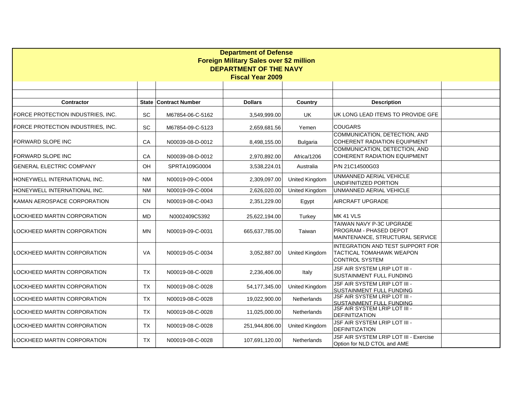| <b>Department of Defense</b>                             |           |                              |                |                       |                                                                                       |  |  |  |
|----------------------------------------------------------|-----------|------------------------------|----------------|-----------------------|---------------------------------------------------------------------------------------|--|--|--|
| <b>Foreign Military Sales over \$2 million</b>           |           |                              |                |                       |                                                                                       |  |  |  |
| <b>DEPARTMENT OF THE NAVY</b><br><b>Fiscal Year 2009</b> |           |                              |                |                       |                                                                                       |  |  |  |
|                                                          |           |                              |                |                       |                                                                                       |  |  |  |
|                                                          |           |                              |                |                       |                                                                                       |  |  |  |
| <b>Contractor</b>                                        |           | <b>State Contract Number</b> | <b>Dollars</b> | <b>Country</b>        | <b>Description</b>                                                                    |  |  |  |
| FORCE PROTECTION INDUSTRIES, INC.                        | SC        | M67854-06-C-5162             | 3.549.999.00   | <b>UK</b>             | UK LONG LEAD ITEMS TO PROVIDE GFE                                                     |  |  |  |
| FORCE PROTECTION INDUSTRIES, INC.                        | SC        | M67854-09-C-5123             | 2,659,681.56   | Yemen                 | <b>COUGARS</b>                                                                        |  |  |  |
| <b>FORWARD SLOPE INC</b>                                 | CA        | N00039-08-D-0012             | 8,498,155.00   | <b>Bulgaria</b>       | COMMUNICATION, DETECTION, AND<br><b>COHERENT RADIATION EQUIPMENT</b>                  |  |  |  |
| <b>FORWARD SLOPE INC</b>                                 | CA        | N00039-08-D-0012             | 2,970,892.00   | Africa/1206           | COMMUNICATION, DETECTION, AND<br><b>COHERENT RADIATION EQUIPMENT</b>                  |  |  |  |
| <b>GENERAL ELECTRIC COMPANY</b>                          | <b>OH</b> | SPRTA109G0004                | 3.538.224.01   | Australia             | P/N 21C14500G03                                                                       |  |  |  |
| HONEYWELL INTERNATIONAL INC.                             | <b>NM</b> | N00019-09-C-0004             | 2,309,097.00   | United Kingdom        | UNMANNED AERIAL VEHICLE<br>UNDIFINITIZED PORTION                                      |  |  |  |
| <b>HONEYWELL INTERNATIONAL INC.</b>                      | <b>NM</b> | N00019-09-C-0004             | 2,626,020.00   | United Kingdom        | UNMANNED AERIAL VEHICLE                                                               |  |  |  |
| KAMAN AEROSPACE CORPORATION                              | <b>CN</b> | N00019-08-C-0043             | 2,351,229.00   | Egypt                 | AIRCRAFT UPGRADE                                                                      |  |  |  |
| LOCKHEED MARTIN CORPORATION                              | MD        | N0002409C5392                | 25,622,194.00  | Turkey                | MK 41 VLS                                                                             |  |  |  |
| LOCKHEED MARTIN CORPORATION                              | MN        | N00019-09-C-0031             | 665,637,785.00 | Taiwan                | TAIWAN NAVY P-3C UPGRADE<br>PROGRAM - PHASED DEPOT<br>MAINTENANCE, STRUCTURAL SERVICE |  |  |  |
| LOCKHEED MARTIN CORPORATION                              | VA        | N00019-05-C-0034             | 3,052,887.00   | United Kingdom        | INTEGRATION AND TEST SUPPORT FOR<br>TACTICAL TOMAHAWK WEAPON<br><b>CONTROL SYSTEM</b> |  |  |  |
| LOCKHEED MARTIN CORPORATION                              | TX        | N00019-08-C-0028             | 2,236,406.00   | Italy                 | JSF AIR SYSTEM LRIP LOT III -<br>SUSTAINMENT FULL FUNDING                             |  |  |  |
| LOCKHEED MARTIN CORPORATION                              | <b>TX</b> | N00019-08-C-0028             | 54,177,345.00  | <b>United Kingdom</b> | JSF AIR SYSTEM LRIP LOT III -<br><b>SUSTAINMENT FULL FUNDING</b>                      |  |  |  |
| LOCKHEED MARTIN CORPORATION                              | <b>TX</b> | N00019-08-C-0028             | 19,022,900.00  | <b>Netherlands</b>    | JSF AIR SYSTEM LRIP LOT III -<br><b>SUSTAINMENT FULL FUNDING</b>                      |  |  |  |
| LOCKHEED MARTIN CORPORATION                              | <b>TX</b> | N00019-08-C-0028             | 11,025,000.00  | Netherlands           | JSF AIR SYSTEM LRIP LOT III -<br><b>DEFINITIZATION</b>                                |  |  |  |
| LOCKHEED MARTIN CORPORATION                              | TX        | N00019-08-C-0028             | 251,944,806.00 | United Kingdom        | JSF AIR SYSTEM LRIP LOT III -<br><b>DEFINITIZATION</b>                                |  |  |  |
| LOCKHEED MARTIN CORPORATION                              | TX        | N00019-08-C-0028             | 107,691,120.00 | Netherlands           | JSF AIR SYSTEM LRIP LOT III - Exercise<br>Option for NLD CTOL and AME                 |  |  |  |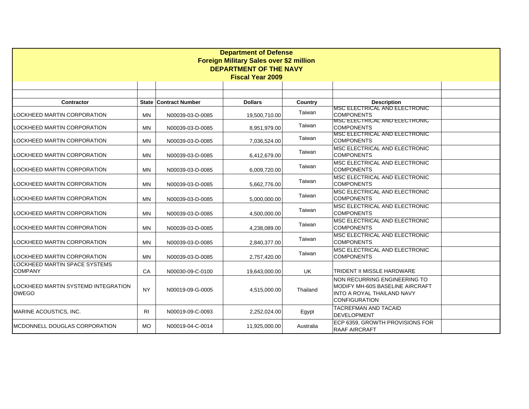| <b>Department of Defense</b><br><b>Foreign Military Sales over \$2 million</b><br><b>DEPARTMENT OF THE NAVY</b><br><b>Fiscal Year 2009</b> |                |                              |                |           |                                                                                                                              |  |  |
|--------------------------------------------------------------------------------------------------------------------------------------------|----------------|------------------------------|----------------|-----------|------------------------------------------------------------------------------------------------------------------------------|--|--|
|                                                                                                                                            |                |                              |                |           |                                                                                                                              |  |  |
| <b>Contractor</b>                                                                                                                          |                | <b>State Contract Number</b> | <b>Dollars</b> | Country   | <b>Description</b>                                                                                                           |  |  |
| LOCKHEED MARTIN CORPORATION                                                                                                                | MN             | N00039-03-D-0085             | 19,500,710.00  | Taiwan    | MSC ELECTRICAL AND ELECTRONIC<br><b>COMPONENTS</b>                                                                           |  |  |
| LOCKHEED MARTIN CORPORATION                                                                                                                | <b>MN</b>      | N00039-03-D-0085             | 8,951,979.00   | Taiwan    | MSC ELECTRICAL AND ELECTRONIC<br><b>COMPONENTS</b>                                                                           |  |  |
| LOCKHEED MARTIN CORPORATION                                                                                                                | <b>MN</b>      | N00039-03-D-0085             | 7,036,524.00   | Taiwan    | MSC ELECTRICAL AND ELECTRONIC<br><b>COMPONENTS</b>                                                                           |  |  |
| LOCKHEED MARTIN CORPORATION                                                                                                                | MN             | N00039-03-D-0085             | 6,412,679.00   | Taiwan    | MSC ELECTRICAL AND ELECTRONIC<br><b>COMPONENTS</b>                                                                           |  |  |
| LOCKHEED MARTIN CORPORATION                                                                                                                | MN             | N00039-03-D-0085             | 6,009,720.00   | Taiwan    | MSC ELECTRICAL AND ELECTRONIC<br><b>COMPONENTS</b>                                                                           |  |  |
| LOCKHEED MARTIN CORPORATION                                                                                                                | MN             | N00039-03-D-0085             | 5,662,776.00   | Taiwan    | MSC ELECTRICAL AND ELECTRONIC<br><b>COMPONENTS</b>                                                                           |  |  |
| LOCKHEED MARTIN CORPORATION                                                                                                                | MN             | N00039-03-D-0085             | 5,000,000.00   | Taiwan    | MSC ELECTRICAL AND ELECTRONIC<br><b>COMPONENTS</b>                                                                           |  |  |
| LOCKHEED MARTIN CORPORATION                                                                                                                | MN             | N00039-03-D-0085             | 4,500,000.00   | Taiwan    | MSC ELECTRICAL AND ELECTRONIC<br><b>COMPONENTS</b>                                                                           |  |  |
| LOCKHEED MARTIN CORPORATION                                                                                                                | MN             | N00039-03-D-0085             | 4,238,089.00   | Taiwan    | MSC ELECTRICAL AND ELECTRONIC<br><b>COMPONENTS</b>                                                                           |  |  |
| LOCKHEED MARTIN CORPORATION                                                                                                                | MN             | N00039-03-D-0085             | 2,840,377.00   | Taiwan    | MSC ELECTRICAL AND ELECTRONIC<br><b>COMPONENTS</b>                                                                           |  |  |
| LOCKHEED MARTIN CORPORATION                                                                                                                | <b>MN</b>      | N00039-03-D-0085             | 2,757,420.00   | Taiwan    | MSC ELECTRICAL AND ELECTRONIC<br><b>COMPONENTS</b>                                                                           |  |  |
| <b>LOCKHEED MARTIN SPACE SYSTEMS</b><br><b>COMPANY</b>                                                                                     | CA             | N00030-09-C-0100             | 19,643,000.00  | <b>UK</b> | TRIDENT II MISSLE HARDWARE                                                                                                   |  |  |
| ILOCKHEED MARTIN SYSTEMD INTEGRATION<br><b>OWEGO</b>                                                                                       | <b>NY</b>      | N00019-09-G-0005             | 4,515,000.00   | Thailand  | NON RECURRING ENGINEERING TO<br>MODIFY MH-60S BASELINE AIRCRAFT<br><b>INTO A ROYAL THAILAND NAVY</b><br><b>CONFIGURATION</b> |  |  |
| MARINE ACOUSTICS, INC.                                                                                                                     | R <sub>l</sub> | N00019-09-C-0093             | 2,252,024.00   | Egypt     | <b>TACREFMAN AND TACAID</b><br><b>DEVELOPMENT</b>                                                                            |  |  |
| <b>IMCDONNELL DOUGLAS CORPORATION</b>                                                                                                      | <b>MO</b>      | N00019-04-C-0014             | 11,925,000.00  | Australia | ECP 6359, GROWTH PROVISIONS FOR<br><b>RAAF AIRCRAFT</b>                                                                      |  |  |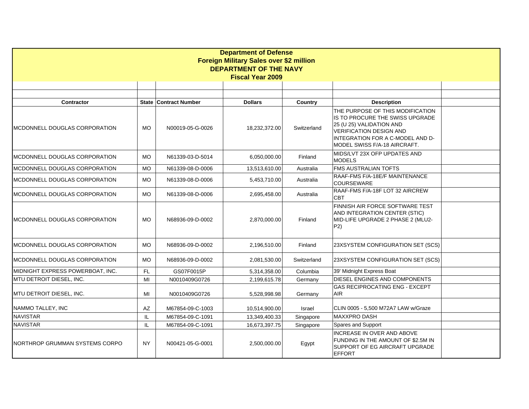| <b>Department of Defense</b><br>Foreign Military Sales over \$2 million |           |                              |                         |                |                                                                                                                                                                                                       |  |  |  |  |
|-------------------------------------------------------------------------|-----------|------------------------------|-------------------------|----------------|-------------------------------------------------------------------------------------------------------------------------------------------------------------------------------------------------------|--|--|--|--|
| <b>DEPARTMENT OF THE NAVY</b>                                           |           |                              |                         |                |                                                                                                                                                                                                       |  |  |  |  |
|                                                                         |           |                              | <b>Fiscal Year 2009</b> |                |                                                                                                                                                                                                       |  |  |  |  |
|                                                                         |           |                              |                         |                |                                                                                                                                                                                                       |  |  |  |  |
|                                                                         |           |                              |                         |                |                                                                                                                                                                                                       |  |  |  |  |
| <b>Contractor</b>                                                       |           | <b>State Contract Number</b> | <b>Dollars</b>          | <b>Country</b> | <b>Description</b>                                                                                                                                                                                    |  |  |  |  |
| IMCDONNELL DOUGLAS CORPORATION                                          | MO        | N00019-05-G-0026             | 18,232,372.00           | Switzerland    | THE PURPOSE OF THIS MODIFICATION<br>IS TO PROCURE THE SWISS UPGRADE<br>25 (U 25) VALIDATION AND<br><b>VERIFICATION DESIGN AND</b><br>INTEGRATION FOR A C-MODEL AND D-<br>MODEL SWISS F/A-18 AIRCRAFT. |  |  |  |  |
| IMCDONNELL DOUGLAS CORPORATION                                          | <b>MO</b> | N61339-03-D-5014             | 6.050.000.00            | Finland        | MIDS/LVT 23X OFP UPDATES AND<br><b>MODELS</b>                                                                                                                                                         |  |  |  |  |
| <b>IMCDONNELL DOUGLAS CORPORATION</b>                                   | <b>MO</b> | N61339-08-D-0006             | 13,513,610.00           | Australia      | <b>FMS AUSTRALIAN TOFTS</b>                                                                                                                                                                           |  |  |  |  |
| MCDONNELL DOUGLAS CORPORATION                                           | <b>MO</b> | N61339-08-D-0006             | 5,453,710.00            | Australia      | RAAF-FMS F/A-18E/F MAINTENANCE<br><b>COURSEWARE</b>                                                                                                                                                   |  |  |  |  |
| MCDONNELL DOUGLAS CORPORATION                                           | <b>MO</b> | N61339-08-D-0006             | 2,695,458.00            | Australia      | RAAF-FMS F/A-18F LOT 32 AIRCREW<br><b>CBT</b>                                                                                                                                                         |  |  |  |  |
| IMCDONNELL DOUGLAS CORPORATION                                          | <b>MO</b> | N68936-09-D-0002             | 2,870,000.00            | Finland        | FINNISH AIR FORCE SOFTWARE TEST<br>AND INTEGRATION CENTER (STIC)<br>MID-LIFE UPGRADE 2 PHASE 2 (MLU2-<br>P2)                                                                                          |  |  |  |  |
| <b>IMCDONNELL DOUGLAS CORPORATION</b>                                   | <b>MO</b> | N68936-09-D-0002             | 2,196,510.00            | Finland        | 23XSYSTEM CONFIGURATION SET (SCS)                                                                                                                                                                     |  |  |  |  |
| IMCDONNELL DOUGLAS CORPORATION                                          | <b>MO</b> | N68936-09-D-0002             | 2,081,530.00            | Switzerland    | 23XSYSTEM CONFIGURATION SET (SCS)                                                                                                                                                                     |  |  |  |  |
| MIDNIGHT EXPRESS POWERBOAT, INC.                                        | FL.       | GS07F0015P                   | 5,314,358.00            | Columbia       | 39' Midnight Express Boat                                                                                                                                                                             |  |  |  |  |
| MTU DETROIT DIESEL, INC.                                                | MI        | N0010409G0726                | 2,199,615.78            | Germany        | DIESEL ENGINES AND COMPONENTS                                                                                                                                                                         |  |  |  |  |
| IMTU DETROIT DIESEL, INC.                                               | MI        | N0010409G0726                | 5,528,998.98            | Germany        | <b>GAS RECIPROCATING ENG - EXCEPT</b><br>AIR.                                                                                                                                                         |  |  |  |  |
| NAMMO TALLEY, INC                                                       | AZ        | M67854-09-C-1003             | 10,514,900.00           | Israel         | CLIN 0005 - 5,500 M72A7 LAW w/Graze                                                                                                                                                                   |  |  |  |  |
| <b>NAVISTAR</b>                                                         | IL        | M67854-09-C-1091             | 13,349,400.33           | Singapore      | MAXXPRO DASH                                                                                                                                                                                          |  |  |  |  |
| <b>NAVISTAR</b>                                                         | IL        | M67854-09-C-1091             | 16,673,397.75           | Singapore      | Spares and Support                                                                                                                                                                                    |  |  |  |  |
| NORTHROP GRUMMAN SYSTEMS CORPO                                          | <b>NY</b> | N00421-05-G-0001             | 2,500,000.00            | Egypt          | INCREASE IN OVER AND ABOVE<br>FUNDING IN THE AMOUNT OF \$2.5M IN<br>SUPPORT OF EG AIRCRAFT UPGRADE<br><b>EFFORT</b>                                                                                   |  |  |  |  |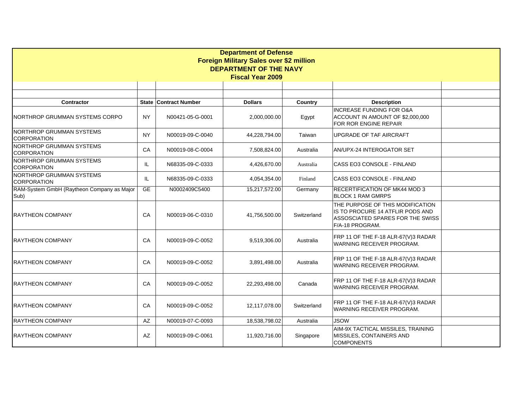| <b>Department of Defense</b>                          |           |                              |                         |             |                                                                                                                             |  |  |  |
|-------------------------------------------------------|-----------|------------------------------|-------------------------|-------------|-----------------------------------------------------------------------------------------------------------------------------|--|--|--|
| <b>Foreign Military Sales over \$2 million</b>        |           |                              |                         |             |                                                                                                                             |  |  |  |
| <b>DEPARTMENT OF THE NAVY</b>                         |           |                              |                         |             |                                                                                                                             |  |  |  |
|                                                       |           |                              | <b>Fiscal Year 2009</b> |             |                                                                                                                             |  |  |  |
|                                                       |           |                              |                         |             |                                                                                                                             |  |  |  |
|                                                       |           |                              |                         |             |                                                                                                                             |  |  |  |
| <b>Contractor</b>                                     |           | <b>State Contract Number</b> | <b>Dollars</b>          | Country     | <b>Description</b>                                                                                                          |  |  |  |
| NORTHROP GRUMMAN SYSTEMS CORPO                        | <b>NY</b> | N00421-05-G-0001             | 2,000,000.00            | Egypt       | <b>INCREASE FUNDING FOR O&amp;A</b><br>ACCOUNT IN AMOUNT OF \$2,000,000<br>FOR ROR ENGINE REPAIR                            |  |  |  |
| <b>NORTHROP GRUMMAN SYSTEMS</b><br><b>CORPORATION</b> | <b>NY</b> | N00019-09-C-0040             | 44,228,794.00           | Taiwan      | UPGRADE OF TAF AIRCRAFT                                                                                                     |  |  |  |
| NORTHROP GRUMMAN SYSTEMS<br><b>CORPORATION</b>        | CA        | N00019-08-C-0004             | 7,508,824.00            | Australia   | AN/UPX-24 INTEROGATOR SET                                                                                                   |  |  |  |
| NORTHROP GRUMMAN SYSTEMS<br><b>CORPORATION</b>        | IL        | N68335-09-C-0333             | 4,426,670.00            | Australia   | CASS EO3 CONSOLE - FINLAND                                                                                                  |  |  |  |
| NORTHROP GRUMMAN SYSTEMS<br><b>CORPORATION</b>        | IL        | N68335-09-C-0333             | 4,054,354.00            | Finland     | CASS EO3 CONSOLE - FINLAND                                                                                                  |  |  |  |
| RAM-System GmbH (Raytheon Company as Major<br>Sub)    | GE        | N0002409C5400                | 15,217,572.00           | Germany     | RECERTIFICATION OF MK44 MOD 3<br><b>BLOCK 1 RAM GMRPS</b>                                                                   |  |  |  |
| <b>RAYTHEON COMPANY</b>                               | CA        | N00019-06-C-0310             | 41,756,500.00           | Switzerland | THE PURPOSE OF THIS MODIFICATION<br>IS TO PROCURE 14 ATFLIR PODS AND<br>ASSOSCIATED SPARES FOR THE SWISS<br>F/A-18 PROGRAM. |  |  |  |
| <b>RAYTHEON COMPANY</b>                               | CA        | N00019-09-C-0052             | 9,519,306.00            | Australia   | FRP 11 OF THE F-18 ALR-67(V)3 RADAR<br>WARNING RECEIVER PROGRAM.                                                            |  |  |  |
| <b>RAYTHEON COMPANY</b>                               | CA        | N00019-09-C-0052             | 3,891,498.00            | Australia   | FRP 11 OF THE F-18 ALR-67(V)3 RADAR<br>WARNING RECEIVER PROGRAM.                                                            |  |  |  |
| <b>RAYTHEON COMPANY</b>                               | CA        | N00019-09-C-0052             | 22,293,498.00           | Canada      | FRP 11 OF THE F-18 ALR-67(V)3 RADAR<br>WARNING RECEIVER PROGRAM.                                                            |  |  |  |
| <b>RAYTHEON COMPANY</b>                               | CA        | N00019-09-C-0052             | 12,117,078.00           | Switzerland | FRP 11 OF THE F-18 ALR-67(V)3 RADAR<br>WARNING RECEIVER PROGRAM.                                                            |  |  |  |
| RAYTHEON COMPANY                                      | AZ        | N00019-07-C-0093             | 18,538,798.02           | Australia   | <b>JSOW</b>                                                                                                                 |  |  |  |
| RAYTHEON COMPANY                                      | AZ        | N00019-09-C-0061             | 11,920,716.00           | Singapore   | AIM-9X TACTICAL MISSILES, TRAINING<br>MISSILES, CONTAINERS AND<br><b>COMPONENTS</b>                                         |  |  |  |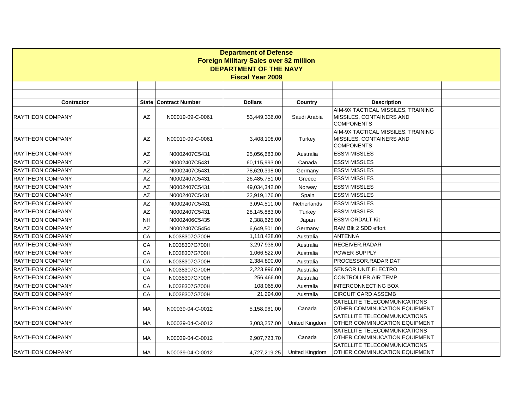| <b>Department of Defense</b>                   |                        |                              |                |                       |                                                                                     |  |  |  |
|------------------------------------------------|------------------------|------------------------------|----------------|-----------------------|-------------------------------------------------------------------------------------|--|--|--|
| <b>Foreign Military Sales over \$2 million</b> |                        |                              |                |                       |                                                                                     |  |  |  |
| <b>DEPARTMENT OF THE NAVY</b>                  |                        |                              |                |                       |                                                                                     |  |  |  |
| <b>Fiscal Year 2009</b>                        |                        |                              |                |                       |                                                                                     |  |  |  |
|                                                |                        |                              |                |                       |                                                                                     |  |  |  |
|                                                |                        |                              |                |                       |                                                                                     |  |  |  |
| Contractor                                     |                        | <b>State Contract Number</b> | <b>Dollars</b> | Country               | <b>Description</b>                                                                  |  |  |  |
| <b>RAYTHEON COMPANY</b>                        | $\mathsf{A}\mathsf{Z}$ | N00019-09-C-0061             | 53,449,336.00  | Saudi Arabia          | AIM-9X TACTICAL MISSILES, TRAINING<br>MISSILES, CONTAINERS AND<br><b>COMPONENTS</b> |  |  |  |
| <b>RAYTHEON COMPANY</b>                        | AZ                     | N00019-09-C-0061             | 3,408,108.00   | Turkey                | AIM-9X TACTICAL MISSILES, TRAINING<br>MISSILES, CONTAINERS AND<br><b>COMPONENTS</b> |  |  |  |
| RAYTHEON COMPANY                               | AZ                     | N0002407C5431                | 25,056,683.00  | Australia             | <b>ESSM MISSLES</b>                                                                 |  |  |  |
| <b>RAYTHEON COMPANY</b>                        | AZ                     | N0002407C5431                | 60,115,993.00  | Canada                | <b>ESSM MISSLES</b>                                                                 |  |  |  |
| <b>RAYTHEON COMPANY</b>                        | AZ                     | N0002407C5431                | 78,620,398.00  | Germany               | <b>ESSM MISSLES</b>                                                                 |  |  |  |
| <b>RAYTHEON COMPANY</b>                        | $\mathsf{A}\mathsf{Z}$ | N0002407C5431                | 26,485,751.00  | Greece                | <b>ESSM MISSLES</b>                                                                 |  |  |  |
| <b>RAYTHEON COMPANY</b>                        | AZ                     | N0002407C5431                | 49,034,342.00  | Norway                | <b>ESSM MISSLES</b>                                                                 |  |  |  |
| <b>RAYTHEON COMPANY</b>                        | AZ                     | N0002407C5431                | 22,919,176.00  | Spain                 | <b>ESSM MISSLES</b>                                                                 |  |  |  |
| <b>RAYTHEON COMPANY</b>                        | $\mathsf{A}\mathsf{Z}$ | N0002407C5431                | 3,094,511.00   | Netherlands           | <b>ESSM MISSLES</b>                                                                 |  |  |  |
| <b>RAYTHEON COMPANY</b>                        | $\mathsf{A}\mathsf{Z}$ | N0002407C5431                | 28,145,883.00  | Turkey                | <b>ESSM MISSLES</b>                                                                 |  |  |  |
| <b>RAYTHEON COMPANY</b>                        | <b>NH</b>              | N0002406C5435                | 2,388,625.00   | Japan                 | <b>ESSM ORDALT Kit</b>                                                              |  |  |  |
| <b>RAYTHEON COMPANY</b>                        | AZ                     | N0002407C5454                | 6,649,501.00   | Germany               | RAM Blk 2 SDD effort                                                                |  |  |  |
| RAYTHEON COMPANY                               | CA                     | N0038307G700H                | 1,118,428.00   | Australia             | <b>ANTENNA</b>                                                                      |  |  |  |
| RAYTHEON COMPANY                               | CA                     | N0038307G700H                | 3,297,938.00   | Australia             | RECEIVER, RADAR                                                                     |  |  |  |
| <b>RAYTHEON COMPANY</b>                        | CA                     | N0038307G700H                | 1,066,522.00   | Australia             | <b>POWER SUPPLY</b>                                                                 |  |  |  |
| <b>RAYTHEON COMPANY</b>                        | CA                     | N0038307G700H                | 2,384,890.00   | Australia             | PROCESSOR, RADAR DAT                                                                |  |  |  |
| <b>RAYTHEON COMPANY</b>                        | CA                     | N0038307G700H                | 2,223,996.00   | Australia             | SENSOR UNIT, ELECTRO                                                                |  |  |  |
| <b>RAYTHEON COMPANY</b>                        | CA                     | N0038307G700H                | 256,466.00     | Australia             | CONTROLLER, AIR TEMP                                                                |  |  |  |
| <b>RAYTHEON COMPANY</b>                        | CA                     | N0038307G700H                | 108,065.00     | Australia             | <b>INTERCONNECTING BOX</b>                                                          |  |  |  |
| <b>RAYTHEON COMPANY</b>                        | СA                     | N0038307G700H                | 21,294.00      | Australia             | <b>CIRCUIT CARD ASSEMB</b>                                                          |  |  |  |
| <b>RAYTHEON COMPANY</b>                        | MA                     | N00039-04-C-0012             | 5,158,961.00   | Canada                | SATELLITE TELECOMMUNICATIONS<br>OTHER COMMINUCATION EQUIPMENT                       |  |  |  |
| <b>RAYTHEON COMPANY</b>                        | MA                     | N00039-04-C-0012             | 3,083,257.00   | United Kingdom        | SATELLITE TELECOMMUNICATIONS<br>OTHER COMMINUCATION EQUIPMENT                       |  |  |  |
| <b>RAYTHEON COMPANY</b>                        | MA                     | N00039-04-C-0012             | 2,907,723.70   | Canada                | SATELLITE TELECOMMUNICATIONS<br>OTHER COMMINUCATION EQUIPMENT                       |  |  |  |
| <b>RAYTHEON COMPANY</b>                        | MA                     | N00039-04-C-0012             | 4,727,219.25   | <b>United Kingdom</b> | SATELLITE TELECOMMUNICATIONS<br>OTHER COMMINUCATION EQUIPMENT                       |  |  |  |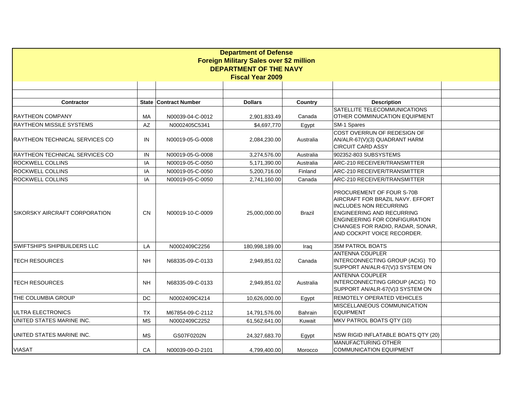|                                       |           |                              | <b>Department of Defense</b>            |           |                                                                                                                                                                                                                                               |  |  |  |  |
|---------------------------------------|-----------|------------------------------|-----------------------------------------|-----------|-----------------------------------------------------------------------------------------------------------------------------------------------------------------------------------------------------------------------------------------------|--|--|--|--|
|                                       |           |                              | Foreign Military Sales over \$2 million |           |                                                                                                                                                                                                                                               |  |  |  |  |
| <b>DEPARTMENT OF THE NAVY</b>         |           |                              |                                         |           |                                                                                                                                                                                                                                               |  |  |  |  |
| <b>Fiscal Year 2009</b>               |           |                              |                                         |           |                                                                                                                                                                                                                                               |  |  |  |  |
|                                       |           |                              |                                         |           |                                                                                                                                                                                                                                               |  |  |  |  |
|                                       |           |                              |                                         |           |                                                                                                                                                                                                                                               |  |  |  |  |
| Contractor                            |           | <b>State Contract Number</b> | <b>Dollars</b>                          | Country   | <b>Description</b>                                                                                                                                                                                                                            |  |  |  |  |
| IRAYTHEON COMPANY                     | MA        | N00039-04-C-0012             | 2,901,833.49                            | Canada    | SATELLITE TELECOMMUNICATIONS<br>OTHER COMMINUCATION EQUIPMENT                                                                                                                                                                                 |  |  |  |  |
| <b>RAYTHEON MISSILE SYSTEMS</b>       | AZ        | N0002405C5341                | \$4,697,770                             | Egypt     | SM-1 Spares                                                                                                                                                                                                                                   |  |  |  |  |
| RAYTHEON TECHNICAL SERVICES CO        | IN        | N00019-05-G-0008             | 2,084,230.00                            | Australia | COST OVERRUN OF REDESIGN OF<br>AN/ALR-67(V)(3) QUADRANT HARM<br><b>CIRCUIT CARD ASSY</b>                                                                                                                                                      |  |  |  |  |
| <b>RAYTHEON TECHNICAL SERVICES CO</b> | IN        | N00019-05-G-0008             | 3,274,576.00                            | Australia | 902352-803 SUBSYSTEMS                                                                                                                                                                                                                         |  |  |  |  |
| <b>ROCKWELL COLLINS</b>               | IA        | N00019-05-C-0050             | 5,171,390.00                            | Australia | ARC-210 RECEIVER/TRANSMITTER                                                                                                                                                                                                                  |  |  |  |  |
| <b>ROCKWELL COLLINS</b>               | IA        | N00019-05-C-0050             | 5,200,716.00                            | Finland   | ARC-210 RECEIVER/TRANSMITTER                                                                                                                                                                                                                  |  |  |  |  |
| <b>ROCKWELL COLLINS</b>               | IA        | N00019-05-C-0050             | 2,741,160.00                            | Canada    | ARC-210 RECEIVER/TRANSMITTER                                                                                                                                                                                                                  |  |  |  |  |
| ISIKORSKY AIRCRAFT CORPORATION        | <b>CN</b> | N00019-10-C-0009             | 25,000,000.00                           | Brazil    | PROCUREMENT OF FOUR S-70B<br>AIRCRAFT FOR BRAZIL NAVY. EFFORT<br><b>INCLUDES NON RECURRING</b><br><b>ENGINEERING AND RECURRING</b><br><b>ENGINEERING FOR CONFIGURATION</b><br>CHANGES FOR RADIO, RADAR, SONAR,<br>AND COCKPIT VOICE RECORDER. |  |  |  |  |
| SWIFTSHIPS SHIPBUILDERS LLC           | LA        | N0002409C2256                | 180,998,189.00                          | Iraq      | 35M PATROL BOATS                                                                                                                                                                                                                              |  |  |  |  |
| <b>TECH RESOURCES</b>                 | <b>NH</b> | N68335-09-C-0133             | 2,949,851.02                            | Canada    | ANTENNA COUPLER<br>INTERCONNECTING GROUP (ACIG) TO<br>SUPPORT AN/ALR-67(V)3 SYSTEM ON                                                                                                                                                         |  |  |  |  |
| <b>TECH RESOURCES</b>                 | <b>NH</b> | N68335-09-C-0133             | 2,949,851.02                            | Australia | <b>ANTENNA COUPLER</b><br>INTERCONNECTING GROUP (ACIG) TO<br>SUPPORT AN/ALR-67(V)3 SYSTEM ON                                                                                                                                                  |  |  |  |  |
| <b>THE COLUMBIA GROUP</b>             | DC.       | N0002409C4214                | 10,626,000.00                           | Egypt     | <b>REMOTELY OPERATED VEHICLES</b>                                                                                                                                                                                                             |  |  |  |  |
| ULTRA ELECTRONICS                     | <b>TX</b> | M67854-09-C-2112             | 14,791,576.00                           | Bahrain   | MISCELLANEOUS COMMUNICATION<br><b>EQUIPMENT</b>                                                                                                                                                                                               |  |  |  |  |
| UNITED STATES MARINE INC.             | <b>MS</b> | N0002409C2252                | 61,562,641.00                           | Kuwait    | MKV PATROL BOATS QTY (10)                                                                                                                                                                                                                     |  |  |  |  |
| UNITED STATES MARINE INC.             | <b>MS</b> | GS07F0202N                   | 24,327,683.70                           | Egypt     | NSW RIGID INFLATABLE BOATS QTY (20)                                                                                                                                                                                                           |  |  |  |  |
| <b>VIASAT</b>                         | CA        | N00039-00-D-2101             | 4,799,400.00                            | Morocco   | <b>MANUFACTURING OTHER</b><br><b>COMMUNICATION EQUIPMENT</b>                                                                                                                                                                                  |  |  |  |  |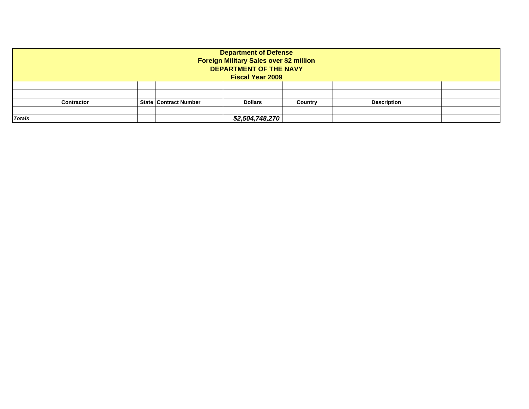| <b>Department of Defense</b><br>Foreign Military Sales over \$2 million<br><b>DEPARTMENT OF THE NAVY</b><br><b>Fiscal Year 2009</b> |                              |                 |         |                    |  |  |  |
|-------------------------------------------------------------------------------------------------------------------------------------|------------------------------|-----------------|---------|--------------------|--|--|--|
|                                                                                                                                     |                              |                 |         |                    |  |  |  |
|                                                                                                                                     |                              |                 |         |                    |  |  |  |
| <b>Contractor</b>                                                                                                                   | <b>State Contract Number</b> | <b>Dollars</b>  | Country | <b>Description</b> |  |  |  |
|                                                                                                                                     |                              |                 |         |                    |  |  |  |
| <b>Totals</b>                                                                                                                       |                              | \$2,504,748,270 |         |                    |  |  |  |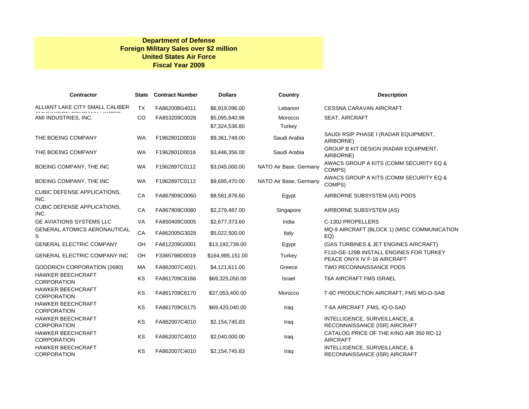#### **Department of Defense Foreign Military Sales over \$2 million United States Air Force Fiscal Year 2009**

| <b>Contractor</b>                              | <b>State</b> | <b>Contract Number</b> | <b>Dollars</b>   | Country                | <b>Description</b>                                                     |
|------------------------------------------------|--------------|------------------------|------------------|------------------------|------------------------------------------------------------------------|
| ALLIANT LAKE CITY SMALL CALIBER                | <b>TX</b>    | FA862008G4011          | \$6,919,096.00   | Lebanon                | <b>CESSNA CARAVAN AIRCRAFT</b>                                         |
| AMI INDUSTRIES, INC.                           | <b>CO</b>    | FA853209C0028          | \$5,095,840.96   | Morocco                | <b>SEAT, AIRCRAFT</b>                                                  |
|                                                |              |                        | \$7,324,536.80   | Turkey                 |                                                                        |
| THE BOEING COMPANY                             | <b>WA</b>    | F1962801D0016          | \$9,361,748.00   | Saudi Arabia           | SAUDI RSIP PHASE I (RADAR EQUIPMENT,<br>AIRBORNE)                      |
| THE BOEING COMPANY                             | <b>WA</b>    | F1962801D0016          | \$3,446,356.00   | Saudi Arabia           | GROUP B KIT DESIGN (RADAR EQUIPMENT,<br>AIRBORNE)                      |
| BOEING COMPANY, THE INC                        | <b>WA</b>    | F1962897C0112          | \$3,045,000.00   | NATO Air Base, Germany | AWACS GROUP A KITS (COMM SECURITY EQ &<br>COMPS)                       |
| BOEING COMPANY, THE INC                        | <b>WA</b>    | F1962897C0112          | \$9,695,470.00   | NATO Air Base, Germany | AWACS GROUP A KITS (COMM SECURITY EQ &<br>COMPS)                       |
| <b>CUBIC DEFENSE APPLICATIONS,</b><br>INC.     | CA           | FA867809C0060          | \$8,581,876.60   | Egypt                  | AIRBORNE SUBSYSTEM (AS) PODS                                           |
| <b>CUBIC DEFENSE APPLICATIONS,</b><br>INC.     | CA           | FA867809C0080          | \$2,279,487.00   | Singapore              | AIRBORNE SUBSYSTEM (AS)                                                |
| <b>GE AVIATIONS SYSTEMS LLC</b>                | <b>VA</b>    | FA850409C0005          | \$2,677,373.60   | India                  | C-130J PROPELLERS                                                      |
| <b>GENERAL ATOMICS AERONAUTICAL</b><br>S       | CA           | FA862005G3028          | \$5,022,500.00   | Italy                  | MQ-9 AIRCRAFT (BLOCK 1) (MISC COMMUNICATION<br>EQ                      |
| <b>GENERAL ELECTRIC COMPANY</b>                | OH           | FA812209G0001          | \$13,192,739.00  | Egypt                  | (GAS TURBINES & JET ENGINES AIRCRAFT)                                  |
| <b>GENERAL ELECTRIC COMPANY INC</b>            | OH           | F3365798D0019          | \$164,985,151.00 | Turkey                 | F110-GE-129B INSTALL ENGINES FOR TURKEY<br>PEACE ONYX IV F-16 AIRCRAFT |
| GOODRICH CORPORATION (2680)                    | <b>MA</b>    | FA862007C4021          | \$4,121,611.00   | Greece                 | TWO RECONNAISSANCE PODS                                                |
| <b>HAWKER BEECHCRAFT</b><br><b>CORPORATION</b> | KS           | FA861709C6166          | \$69,325,050.00  | <b>Israel</b>          | <b>T6A AIRCRAFT FMS ISRAEL</b>                                         |
| <b>HAWKER BEECHCRAFT</b><br><b>CORPORATION</b> | KS           | FA861709C6170          | \$37,053,400.00  | Morocco                | T-6C PRODUCTION AIRCRAFT, FMS MO-D-SAB                                 |
| <b>HAWKER BEECHCRAFT</b><br><b>CORPORATION</b> | KS           | FA861709C6175          | \$69,420,040.00  | Iraq                   | T-6A AIRCRAFT, FMS, IQ-D-SAD                                           |
| <b>HAWKER BEECHCRAFT</b><br><b>CORPORATION</b> | KS           | FA862007C4010          | \$2,154,745.83   | Iraq                   | INTELLIGENCE, SURVEILLANCE, &<br>RECONNAISSANCE (ISR) AIRCRAFT         |
| <b>HAWKER BEECHCRAFT</b><br><b>CORPORATION</b> | KS           | FA862007C4010          | \$2,040,000.00   | Iraq                   | CATALOG PRICE OF THE KING AIR 350 RC-12<br><b>AIRCRAFT</b>             |
| <b>HAWKER BEECHCRAFT</b><br><b>CORPORATION</b> | KS           | FA862007C4010          | \$2,154,745.83   | Iraq                   | INTELLIGENCE, SURVEILLANCE, &<br>RECONNAISSANCE (ISR) AIRCRAFT         |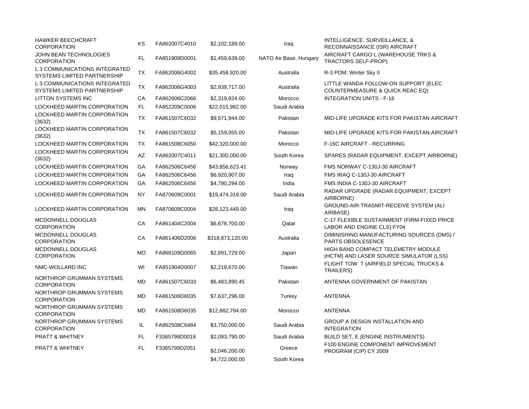| <b>HAWKER BEECHCRAFT</b><br><b>CORPORATION</b>                     | KS        | FA862007C4010 | \$2,102,189.00   | Iraq                   | INTELLIGENCE, SURVEILLANCE, &<br>RECONNAISSANCE (ISR) AIRCRAFT                |
|--------------------------------------------------------------------|-----------|---------------|------------------|------------------------|-------------------------------------------------------------------------------|
| JOHN BEAN TECHNOLOGIES<br><b>CORPORATION</b>                       | FL.       | FA851909D0001 | \$1,459,639.00   | NATO Air Base, Hungary | AIRCRAFT CARGO L (WAREHOUSE TRKS &<br>TRACTORS SELF-PROP)                     |
| <b>L3 COMMUNICATIONS INTEGRATED</b><br>SYSTEMS LIMITED PARTNERSHIP | <b>TX</b> | FA862006G4002 | \$35,458,920.00  | Australia              | R-3 PDM; Winter Sky II                                                        |
| L 3 COMMUNICATIONS INTEGRATED<br>SYSTEMS LIMITED PARTNERSHIP       | <b>TX</b> | FA862006G4003 | \$2,939,717.00   | Australia              | LITTLE WANDA FOLLOW-ON SUPPORT (ELEC<br>COUNTERMEASURE & QUICK REAC EQ)       |
| <b>LITTON SYSTEMS INC</b>                                          | СA        | FA862606C2066 | \$2,319,824.00   | Morocco                | <b>INTEGRATION UNITS - F-16</b>                                               |
| LOCKHEED MARTIN CORPORATION                                        | FL        | FA852209C0006 | \$22,015,982.00  | Saudi Arabia           |                                                                               |
| LOCKHEED MARTIN CORPORATION<br>(3632)                              | <b>TX</b> | FA861507C6032 | \$9,571,944.00   | Pakistan               | MID-LIFE UPGRADE KITS FOR PAKISTAN AIRCRAFT                                   |
| LOCKHEED MARTIN CORPORATION<br>(3632)                              | <b>TX</b> | FA861507C6032 | \$5,159,055.00   | Pakistan               | MID-LIFE UPGRADE KITS FOR PAKISTAN AIRCRAFT                                   |
| LOCKHEED MARTIN CORPORATION                                        | TX        | FA861508C6050 | \$42,320,000.00  | Morocco                | F-16C AIRCRAFT - RECURRING                                                    |
| LOCKHEED MARTIN CORPORATION<br>(3632)                              | <b>AZ</b> | FA862007C4011 | \$21,300,000.00  | South Korea            | SPARES (RADAR EQUIPMENT, EXCEPT AIRBORNE)                                     |
| LOCKHEED MARTIN CORPORATION                                        | GA        | FA862506C6456 | \$43,856,623.41  | Norway                 | FMS NORWAY C-130J-30 AIRCRAFT                                                 |
| LOCKHEED MARTIN CORPORATION                                        | GA        | FA862506C6456 | \$6,920,907.00   | Iraq                   | FMS IRAQ C-130J-30 AIRCRAFT                                                   |
| LOCKHEED MARTIN CORPORATION                                        | GA        | FA862506C6456 | \$4,790,294.00   | India                  | FMS INDIA C-130J-30 AIRCRAFT                                                  |
| LOCKHEED MARTIN CORPORATION                                        | <b>NY</b> | FA870609C0001 | \$19,474,319.00  | Saudi Arabia           | RADAR UPGRADE (RADAR EQUIPMENT, EXCEPT<br>AIRBORNE)                           |
| LOCKHEED MARTIN CORPORATION                                        | <b>MN</b> | FA870609C0004 | \$28,123,449.00  | Iraq                   | GROUND-AIR-TRASMIT-RECEIVE SYSTEM (ALI<br>AIRBASE)                            |
| MCDONNELL DOUGLAS<br><b>CORPORATION</b>                            | CA        | FA861404C2004 | \$6,678,700.00   | Qatar                  | C-17 FLEXIBLE SUSTAINMENT (FIRM-FIXED PRICE<br>LABOR AND ENGINE CLS) FY04     |
| MCDONNELL DOUGLAS<br><b>CORPORATION</b>                            | CA        | FA861406D2006 | \$318,873,120.00 | Australia              | DIMINISHING MANUFACTURING SOURCES (DMS) /<br>PARTS OBSOLESENCE                |
| MCDONNELL DOUGLAS<br><b>CORPORATION</b>                            | <b>MO</b> | FA868109D0065 | \$2,891,729.00   | Japan                  | HIGH BAND COMPACT TELEMETRY MODULE<br>(HCTM) AND LASER SOURCE SIMULATOR (LSS) |
| NMC-WOLLARD INC                                                    | WI        | FA851904D0007 | \$2,219,670.00   | Tiawan                 | FLIGHT TOW T (AIRFIELD SPECIAL TRUCKS &<br><b>TRAILERS)</b>                   |
| NORTHROP GRUMMAN SYSTEMS<br><b>CORPORATION</b>                     | <b>MD</b> | FA861507C6033 | \$6,483,890.45   | Pakistan               | ANTENNA GOVERNMENT OF PAKISTAN                                                |
| NORTHROP GRUMMAN SYSTEMS<br><b>CORPORATION</b>                     | <b>MD</b> | FA861508D6035 | \$7,637,296.00   | Turkey                 | <b>ANTENNA</b>                                                                |
| NORTHROP GRUMMAN SYSTEMS<br><b>CORPORATION</b>                     | <b>MD</b> | FA861508D6035 | \$12,882,794.00  | Morocco                | <b>ANTENNA</b>                                                                |
| NORTHROP GRUMMAN SYSTEMS<br><b>CORPORATION</b>                     | IL        | FA862508C6484 | \$3,750,000.00   | Saudi Arabia           | GROUP A DESIGN INSTALLATION AND<br><b>INTEGRATION</b>                         |
| PRATT & WHITNEY                                                    | FL        | F3365798D0018 | \$2,093,790.00   | Saudi Arabia           | <b>BUILD SET, E (ENGINE INSTRUMENTS)</b>                                      |
| <b>PRATT &amp; WHITNEY</b>                                         | FL.       | F3365799D2051 | \$2,046,200.00   | Greece                 | F100 ENGINE COMPONENT IMPROVEMENT<br>PROGRAM (CIP) CY 2009                    |
|                                                                    |           |               | \$4,722,000.00   | South Korea            |                                                                               |
|                                                                    |           |               |                  |                        |                                                                               |